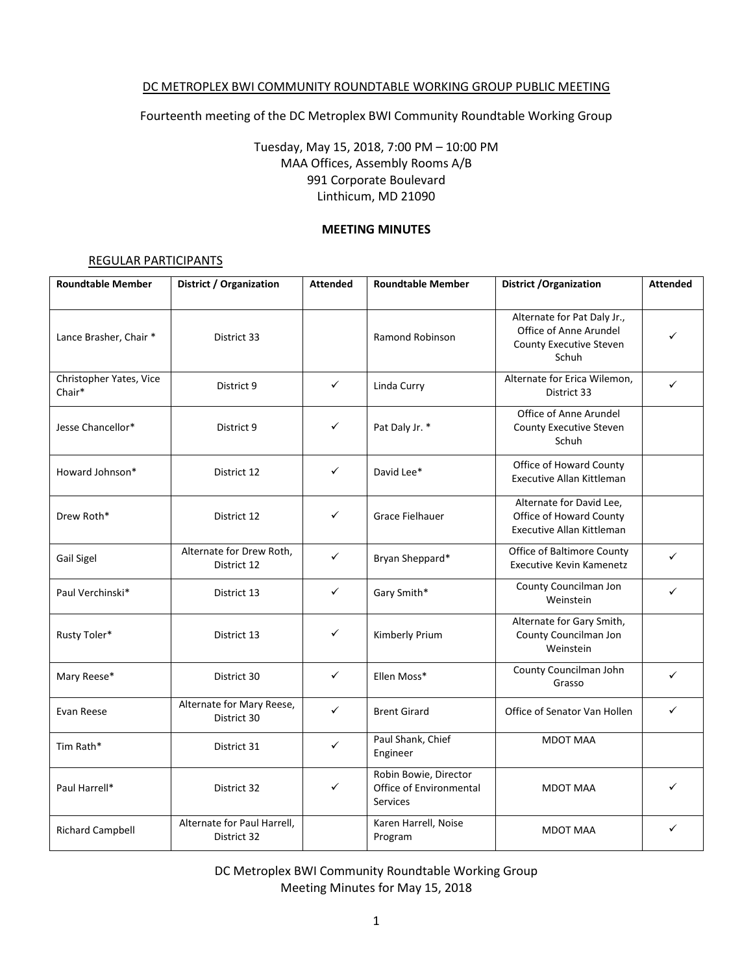### DC METROPLEX BWI COMMUNITY ROUNDTABLE WORKING GROUP PUBLIC MEETING

Fourteenth meeting of the DC Metroplex BWI Community Roundtable Working Group

Tuesday, May 15, 2018, 7:00 PM – 10:00 PM MAA Offices, Assembly Rooms A/B 991 Corporate Boulevard Linthicum, MD 21090

### **MEETING MINUTES**

### REGULAR PARTICIPANTS

| <b>Roundtable Member</b>          | District / Organization                    | <b>Attended</b> | <b>Roundtable Member</b>                                            | <b>District / Organization</b>                                                            | <b>Attended</b> |
|-----------------------------------|--------------------------------------------|-----------------|---------------------------------------------------------------------|-------------------------------------------------------------------------------------------|-----------------|
| Lance Brasher, Chair *            | District 33                                |                 | Ramond Robinson                                                     | Alternate for Pat Daly Jr.,<br>Office of Anne Arundel<br>County Executive Steven<br>Schuh |                 |
| Christopher Yates, Vice<br>Chair* | District 9                                 | ✓               | Linda Curry                                                         | Alternate for Erica Wilemon,<br>District 33                                               | ✓               |
| Jesse Chancellor*                 | District 9                                 | ✓               | Pat Daly Jr. *                                                      | Office of Anne Arundel<br>County Executive Steven<br>Schuh                                |                 |
| Howard Johnson*                   | District 12                                | ✓               | David Lee*                                                          | Office of Howard County<br>Executive Allan Kittleman                                      |                 |
| Drew Roth*                        | District 12                                | ✓               | Grace Fielhauer                                                     | Alternate for David Lee,<br>Office of Howard County<br><b>Executive Allan Kittleman</b>   |                 |
| Gail Sigel                        | Alternate for Drew Roth,<br>District 12    | $\checkmark$    | Bryan Sheppard*                                                     | Office of Baltimore County<br><b>Executive Kevin Kamenetz</b>                             | $\checkmark$    |
| Paul Verchinski*                  | District 13                                | ✓               | Gary Smith*                                                         | County Councilman Jon<br>Weinstein                                                        | ✓               |
| Rusty Toler*                      | District 13                                | ✓               | Kimberly Prium                                                      | Alternate for Gary Smith,<br>County Councilman Jon<br>Weinstein                           |                 |
| Mary Reese*                       | District 30                                | ✓               | Ellen Moss*                                                         | County Councilman John<br>Grasso                                                          | $\checkmark$    |
| Evan Reese                        | Alternate for Mary Reese,<br>District 30   | ✓               | <b>Brent Girard</b>                                                 | Office of Senator Van Hollen                                                              | ✓               |
| Tim Rath*                         | District 31                                | ✓               | Paul Shank, Chief<br>Engineer                                       | <b>MDOT MAA</b>                                                                           |                 |
| Paul Harrell*                     | District 32                                | ✓               | Robin Bowie, Director<br>Office of Environmental<br><b>Services</b> | <b>MDOT MAA</b>                                                                           | ✓               |
| <b>Richard Campbell</b>           | Alternate for Paul Harrell,<br>District 32 |                 | Karen Harrell, Noise<br>Program                                     | <b>MDOT MAA</b>                                                                           | ✓               |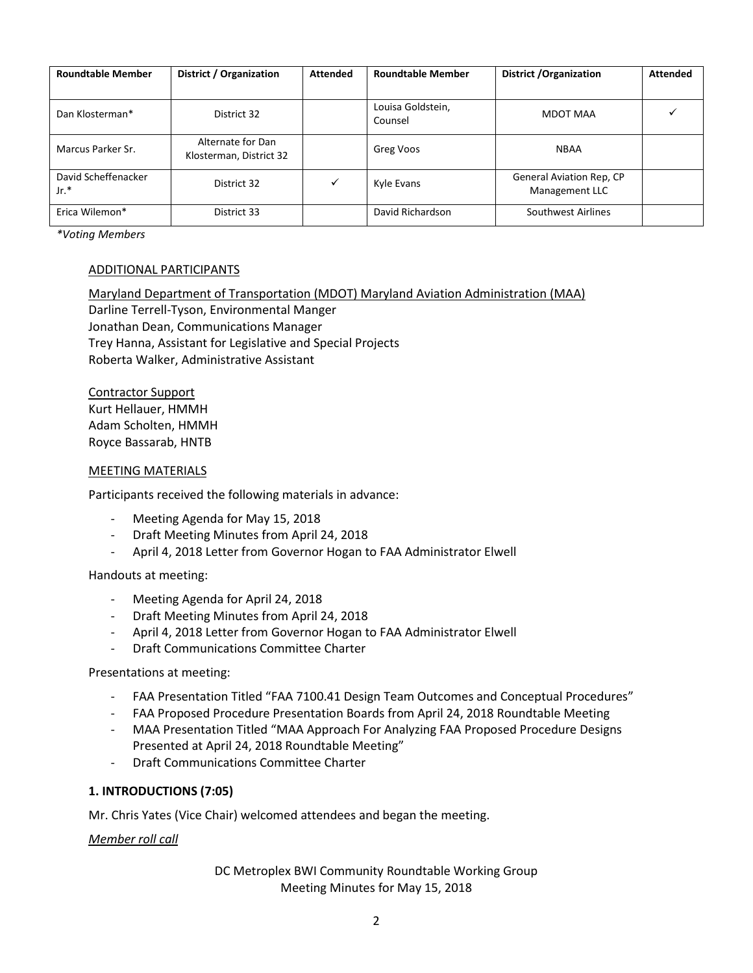| <b>Roundtable Member</b>    | District / Organization                      | <b>Attended</b> | <b>Roundtable Member</b>     | District / Organization                           | <b>Attended</b> |
|-----------------------------|----------------------------------------------|-----------------|------------------------------|---------------------------------------------------|-----------------|
| Dan Klosterman*             | District 32                                  |                 | Louisa Goldstein,<br>Counsel | MDOT MAA                                          |                 |
| Marcus Parker Sr.           | Alternate for Dan<br>Klosterman, District 32 |                 | Greg Voos                    | <b>NBAA</b>                                       |                 |
| David Scheffenacker<br>Jr.* | District 32                                  | ✓               | Kyle Evans                   | <b>General Aviation Rep, CP</b><br>Management LLC |                 |
| Erica Wilemon*              | District 33                                  |                 | David Richardson             | Southwest Airlines                                |                 |

*\*Voting Members*

# ADDITIONAL PARTICIPANTS

Maryland Department of Transportation (MDOT) Maryland Aviation Administration (MAA) Darline Terrell-Tyson, Environmental Manger Jonathan Dean, Communications Manager Trey Hanna, Assistant for Legislative and Special Projects Roberta Walker, Administrative Assistant

Contractor Support Kurt Hellauer, HMMH Adam Scholten, HMMH Royce Bassarab, HNTB

#### MEETING MATERIALS

Participants received the following materials in advance:

- Meeting Agenda for May 15, 2018
- Draft Meeting Minutes from April 24, 2018
- April 4, 2018 Letter from Governor Hogan to FAA Administrator Elwell

Handouts at meeting:

- Meeting Agenda for April 24, 2018
- Draft Meeting Minutes from April 24, 2018
- April 4, 2018 Letter from Governor Hogan to FAA Administrator Elwell
- Draft Communications Committee Charter

#### Presentations at meeting:

- FAA Presentation Titled "FAA 7100.41 Design Team Outcomes and Conceptual Procedures"
- FAA Proposed Procedure Presentation Boards from April 24, 2018 Roundtable Meeting
- MAA Presentation Titled "MAA Approach For Analyzing FAA Proposed Procedure Designs Presented at April 24, 2018 Roundtable Meeting"
- Draft Communications Committee Charter

#### **1. INTRODUCTIONS (7:05)**

Mr. Chris Yates (Vice Chair) welcomed attendees and began the meeting.

*Member roll call*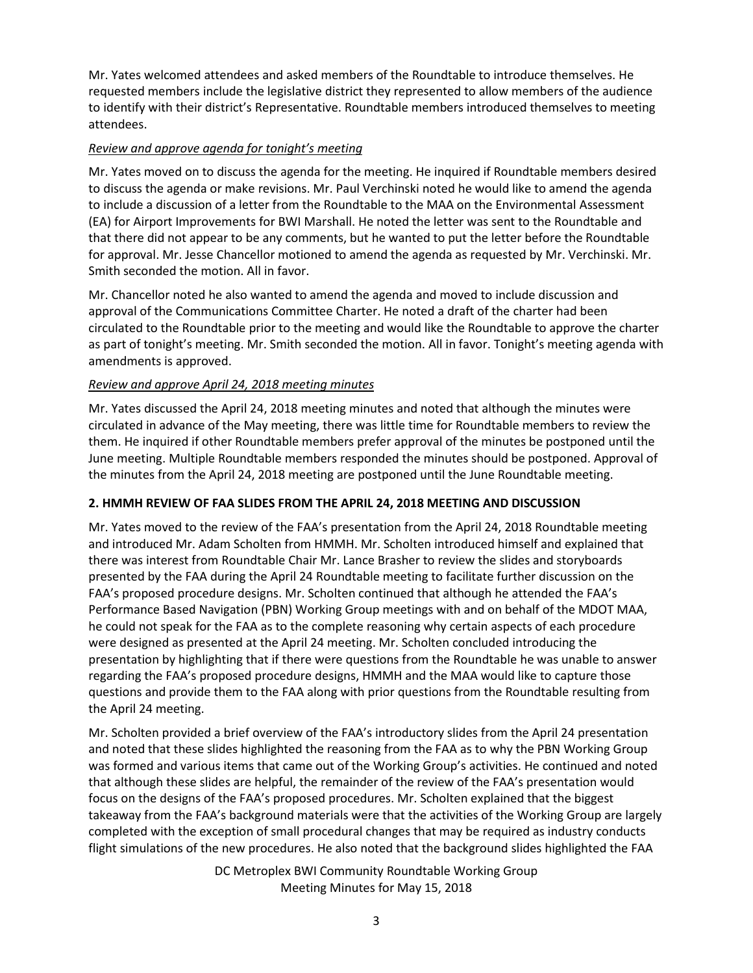Mr. Yates welcomed attendees and asked members of the Roundtable to introduce themselves. He requested members include the legislative district they represented to allow members of the audience to identify with their district's Representative. Roundtable members introduced themselves to meeting attendees.

# *Review and approve agenda for tonight's meeting*

Mr. Yates moved on to discuss the agenda for the meeting. He inquired if Roundtable members desired to discuss the agenda or make revisions. Mr. Paul Verchinski noted he would like to amend the agenda to include a discussion of a letter from the Roundtable to the MAA on the Environmental Assessment (EA) for Airport Improvements for BWI Marshall. He noted the letter was sent to the Roundtable and that there did not appear to be any comments, but he wanted to put the letter before the Roundtable for approval. Mr. Jesse Chancellor motioned to amend the agenda as requested by Mr. Verchinski. Mr. Smith seconded the motion. All in favor.

Mr. Chancellor noted he also wanted to amend the agenda and moved to include discussion and approval of the Communications Committee Charter. He noted a draft of the charter had been circulated to the Roundtable prior to the meeting and would like the Roundtable to approve the charter as part of tonight's meeting. Mr. Smith seconded the motion. All in favor. Tonight's meeting agenda with amendments is approved.

# *Review and approve April 24, 2018 meeting minutes*

Mr. Yates discussed the April 24, 2018 meeting minutes and noted that although the minutes were circulated in advance of the May meeting, there was little time for Roundtable members to review the them. He inquired if other Roundtable members prefer approval of the minutes be postponed until the June meeting. Multiple Roundtable members responded the minutes should be postponed. Approval of the minutes from the April 24, 2018 meeting are postponed until the June Roundtable meeting.

# **2. HMMH REVIEW OF FAA SLIDES FROM THE APRIL 24, 2018 MEETING AND DISCUSSION**

Mr. Yates moved to the review of the FAA's presentation from the April 24, 2018 Roundtable meeting and introduced Mr. Adam Scholten from HMMH. Mr. Scholten introduced himself and explained that there was interest from Roundtable Chair Mr. Lance Brasher to review the slides and storyboards presented by the FAA during the April 24 Roundtable meeting to facilitate further discussion on the FAA's proposed procedure designs. Mr. Scholten continued that although he attended the FAA's Performance Based Navigation (PBN) Working Group meetings with and on behalf of the MDOT MAA, he could not speak for the FAA as to the complete reasoning why certain aspects of each procedure were designed as presented at the April 24 meeting. Mr. Scholten concluded introducing the presentation by highlighting that if there were questions from the Roundtable he was unable to answer regarding the FAA's proposed procedure designs, HMMH and the MAA would like to capture those questions and provide them to the FAA along with prior questions from the Roundtable resulting from the April 24 meeting.

Mr. Scholten provided a brief overview of the FAA's introductory slides from the April 24 presentation and noted that these slides highlighted the reasoning from the FAA as to why the PBN Working Group was formed and various items that came out of the Working Group's activities. He continued and noted that although these slides are helpful, the remainder of the review of the FAA's presentation would focus on the designs of the FAA's proposed procedures. Mr. Scholten explained that the biggest takeaway from the FAA's background materials were that the activities of the Working Group are largely completed with the exception of small procedural changes that may be required as industry conducts flight simulations of the new procedures. He also noted that the background slides highlighted the FAA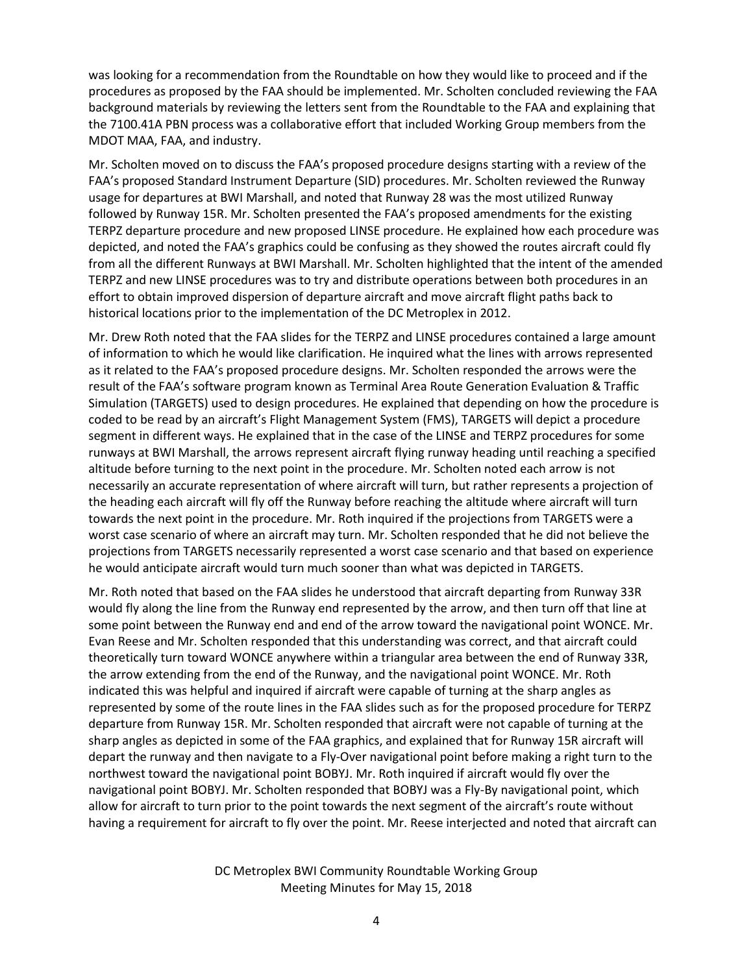was looking for a recommendation from the Roundtable on how they would like to proceed and if the procedures as proposed by the FAA should be implemented. Mr. Scholten concluded reviewing the FAA background materials by reviewing the letters sent from the Roundtable to the FAA and explaining that the 7100.41A PBN process was a collaborative effort that included Working Group members from the MDOT MAA, FAA, and industry.

Mr. Scholten moved on to discuss the FAA's proposed procedure designs starting with a review of the FAA's proposed Standard Instrument Departure (SID) procedures. Mr. Scholten reviewed the Runway usage for departures at BWI Marshall, and noted that Runway 28 was the most utilized Runway followed by Runway 15R. Mr. Scholten presented the FAA's proposed amendments for the existing TERPZ departure procedure and new proposed LINSE procedure. He explained how each procedure was depicted, and noted the FAA's graphics could be confusing as they showed the routes aircraft could fly from all the different Runways at BWI Marshall. Mr. Scholten highlighted that the intent of the amended TERPZ and new LINSE procedures was to try and distribute operations between both procedures in an effort to obtain improved dispersion of departure aircraft and move aircraft flight paths back to historical locations prior to the implementation of the DC Metroplex in 2012.

Mr. Drew Roth noted that the FAA slides for the TERPZ and LINSE procedures contained a large amount of information to which he would like clarification. He inquired what the lines with arrows represented as it related to the FAA's proposed procedure designs. Mr. Scholten responded the arrows were the result of the FAA's software program known as Terminal Area Route Generation Evaluation & Traffic Simulation (TARGETS) used to design procedures. He explained that depending on how the procedure is coded to be read by an aircraft's Flight Management System (FMS), TARGETS will depict a procedure segment in different ways. He explained that in the case of the LINSE and TERPZ procedures for some runways at BWI Marshall, the arrows represent aircraft flying runway heading until reaching a specified altitude before turning to the next point in the procedure. Mr. Scholten noted each arrow is not necessarily an accurate representation of where aircraft will turn, but rather represents a projection of the heading each aircraft will fly off the Runway before reaching the altitude where aircraft will turn towards the next point in the procedure. Mr. Roth inquired if the projections from TARGETS were a worst case scenario of where an aircraft may turn. Mr. Scholten responded that he did not believe the projections from TARGETS necessarily represented a worst case scenario and that based on experience he would anticipate aircraft would turn much sooner than what was depicted in TARGETS.

Mr. Roth noted that based on the FAA slides he understood that aircraft departing from Runway 33R would fly along the line from the Runway end represented by the arrow, and then turn off that line at some point between the Runway end and end of the arrow toward the navigational point WONCE. Mr. Evan Reese and Mr. Scholten responded that this understanding was correct, and that aircraft could theoretically turn toward WONCE anywhere within a triangular area between the end of Runway 33R, the arrow extending from the end of the Runway, and the navigational point WONCE. Mr. Roth indicated this was helpful and inquired if aircraft were capable of turning at the sharp angles as represented by some of the route lines in the FAA slides such as for the proposed procedure for TERPZ departure from Runway 15R. Mr. Scholten responded that aircraft were not capable of turning at the sharp angles as depicted in some of the FAA graphics, and explained that for Runway 15R aircraft will depart the runway and then navigate to a Fly-Over navigational point before making a right turn to the northwest toward the navigational point BOBYJ. Mr. Roth inquired if aircraft would fly over the navigational point BOBYJ. Mr. Scholten responded that BOBYJ was a Fly-By navigational point, which allow for aircraft to turn prior to the point towards the next segment of the aircraft's route without having a requirement for aircraft to fly over the point. Mr. Reese interjected and noted that aircraft can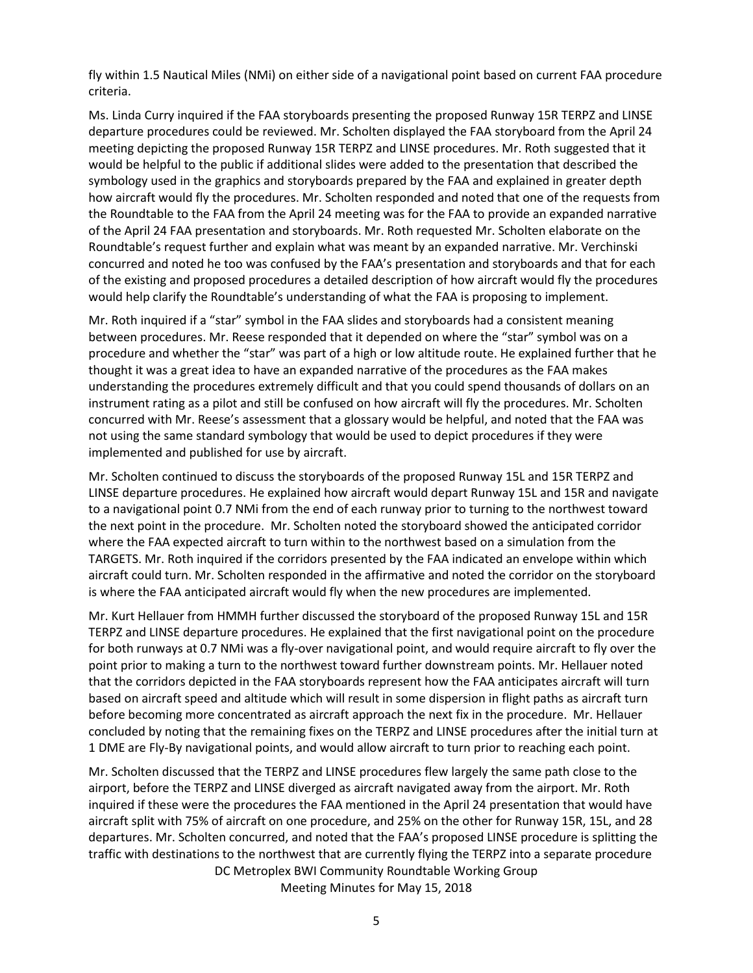fly within 1.5 Nautical Miles (NMi) on either side of a navigational point based on current FAA procedure criteria.

Ms. Linda Curry inquired if the FAA storyboards presenting the proposed Runway 15R TERPZ and LINSE departure procedures could be reviewed. Mr. Scholten displayed the FAA storyboard from the April 24 meeting depicting the proposed Runway 15R TERPZ and LINSE procedures. Mr. Roth suggested that it would be helpful to the public if additional slides were added to the presentation that described the symbology used in the graphics and storyboards prepared by the FAA and explained in greater depth how aircraft would fly the procedures. Mr. Scholten responded and noted that one of the requests from the Roundtable to the FAA from the April 24 meeting was for the FAA to provide an expanded narrative of the April 24 FAA presentation and storyboards. Mr. Roth requested Mr. Scholten elaborate on the Roundtable's request further and explain what was meant by an expanded narrative. Mr. Verchinski concurred and noted he too was confused by the FAA's presentation and storyboards and that for each of the existing and proposed procedures a detailed description of how aircraft would fly the procedures would help clarify the Roundtable's understanding of what the FAA is proposing to implement.

Mr. Roth inquired if a "star" symbol in the FAA slides and storyboards had a consistent meaning between procedures. Mr. Reese responded that it depended on where the "star" symbol was on a procedure and whether the "star" was part of a high or low altitude route. He explained further that he thought it was a great idea to have an expanded narrative of the procedures as the FAA makes understanding the procedures extremely difficult and that you could spend thousands of dollars on an instrument rating as a pilot and still be confused on how aircraft will fly the procedures. Mr. Scholten concurred with Mr. Reese's assessment that a glossary would be helpful, and noted that the FAA was not using the same standard symbology that would be used to depict procedures if they were implemented and published for use by aircraft.

Mr. Scholten continued to discuss the storyboards of the proposed Runway 15L and 15R TERPZ and LINSE departure procedures. He explained how aircraft would depart Runway 15L and 15R and navigate to a navigational point 0.7 NMi from the end of each runway prior to turning to the northwest toward the next point in the procedure. Mr. Scholten noted the storyboard showed the anticipated corridor where the FAA expected aircraft to turn within to the northwest based on a simulation from the TARGETS. Mr. Roth inquired if the corridors presented by the FAA indicated an envelope within which aircraft could turn. Mr. Scholten responded in the affirmative and noted the corridor on the storyboard is where the FAA anticipated aircraft would fly when the new procedures are implemented.

Mr. Kurt Hellauer from HMMH further discussed the storyboard of the proposed Runway 15L and 15R TERPZ and LINSE departure procedures. He explained that the first navigational point on the procedure for both runways at 0.7 NMi was a fly-over navigational point, and would require aircraft to fly over the point prior to making a turn to the northwest toward further downstream points. Mr. Hellauer noted that the corridors depicted in the FAA storyboards represent how the FAA anticipates aircraft will turn based on aircraft speed and altitude which will result in some dispersion in flight paths as aircraft turn before becoming more concentrated as aircraft approach the next fix in the procedure. Mr. Hellauer concluded by noting that the remaining fixes on the TERPZ and LINSE procedures after the initial turn at 1 DME are Fly-By navigational points, and would allow aircraft to turn prior to reaching each point.

DC Metroplex BWI Community Roundtable Working Group Mr. Scholten discussed that the TERPZ and LINSE procedures flew largely the same path close to the airport, before the TERPZ and LINSE diverged as aircraft navigated away from the airport. Mr. Roth inquired if these were the procedures the FAA mentioned in the April 24 presentation that would have aircraft split with 75% of aircraft on one procedure, and 25% on the other for Runway 15R, 15L, and 28 departures. Mr. Scholten concurred, and noted that the FAA's proposed LINSE procedure is splitting the traffic with destinations to the northwest that are currently flying the TERPZ into a separate procedure

Meeting Minutes for May 15, 2018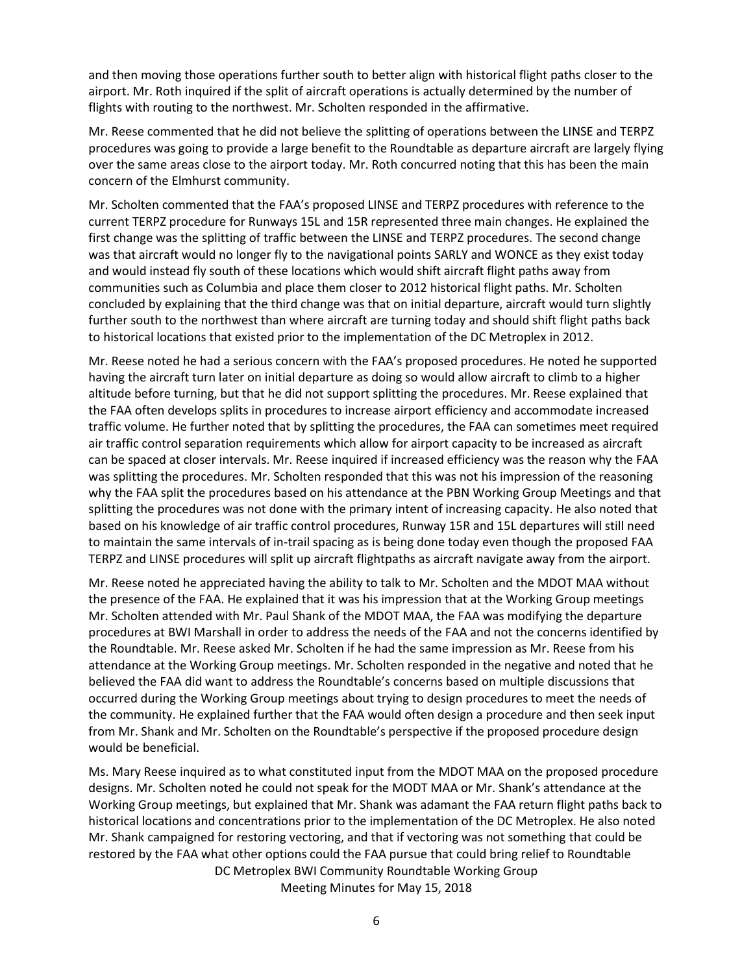and then moving those operations further south to better align with historical flight paths closer to the airport. Mr. Roth inquired if the split of aircraft operations is actually determined by the number of flights with routing to the northwest. Mr. Scholten responded in the affirmative.

Mr. Reese commented that he did not believe the splitting of operations between the LINSE and TERPZ procedures was going to provide a large benefit to the Roundtable as departure aircraft are largely flying over the same areas close to the airport today. Mr. Roth concurred noting that this has been the main concern of the Elmhurst community.

Mr. Scholten commented that the FAA's proposed LINSE and TERPZ procedures with reference to the current TERPZ procedure for Runways 15L and 15R represented three main changes. He explained the first change was the splitting of traffic between the LINSE and TERPZ procedures. The second change was that aircraft would no longer fly to the navigational points SARLY and WONCE as they exist today and would instead fly south of these locations which would shift aircraft flight paths away from communities such as Columbia and place them closer to 2012 historical flight paths. Mr. Scholten concluded by explaining that the third change was that on initial departure, aircraft would turn slightly further south to the northwest than where aircraft are turning today and should shift flight paths back to historical locations that existed prior to the implementation of the DC Metroplex in 2012.

Mr. Reese noted he had a serious concern with the FAA's proposed procedures. He noted he supported having the aircraft turn later on initial departure as doing so would allow aircraft to climb to a higher altitude before turning, but that he did not support splitting the procedures. Mr. Reese explained that the FAA often develops splits in procedures to increase airport efficiency and accommodate increased traffic volume. He further noted that by splitting the procedures, the FAA can sometimes meet required air traffic control separation requirements which allow for airport capacity to be increased as aircraft can be spaced at closer intervals. Mr. Reese inquired if increased efficiency was the reason why the FAA was splitting the procedures. Mr. Scholten responded that this was not his impression of the reasoning why the FAA split the procedures based on his attendance at the PBN Working Group Meetings and that splitting the procedures was not done with the primary intent of increasing capacity. He also noted that based on his knowledge of air traffic control procedures, Runway 15R and 15L departures will still need to maintain the same intervals of in-trail spacing as is being done today even though the proposed FAA TERPZ and LINSE procedures will split up aircraft flightpaths as aircraft navigate away from the airport.

Mr. Reese noted he appreciated having the ability to talk to Mr. Scholten and the MDOT MAA without the presence of the FAA. He explained that it was his impression that at the Working Group meetings Mr. Scholten attended with Mr. Paul Shank of the MDOT MAA, the FAA was modifying the departure procedures at BWI Marshall in order to address the needs of the FAA and not the concerns identified by the Roundtable. Mr. Reese asked Mr. Scholten if he had the same impression as Mr. Reese from his attendance at the Working Group meetings. Mr. Scholten responded in the negative and noted that he believed the FAA did want to address the Roundtable's concerns based on multiple discussions that occurred during the Working Group meetings about trying to design procedures to meet the needs of the community. He explained further that the FAA would often design a procedure and then seek input from Mr. Shank and Mr. Scholten on the Roundtable's perspective if the proposed procedure design would be beneficial.

DC Metroplex BWI Community Roundtable Working Group Meeting Minutes for May 15, 2018 Ms. Mary Reese inquired as to what constituted input from the MDOT MAA on the proposed procedure designs. Mr. Scholten noted he could not speak for the MODT MAA or Mr. Shank's attendance at the Working Group meetings, but explained that Mr. Shank was adamant the FAA return flight paths back to historical locations and concentrations prior to the implementation of the DC Metroplex. He also noted Mr. Shank campaigned for restoring vectoring, and that if vectoring was not something that could be restored by the FAA what other options could the FAA pursue that could bring relief to Roundtable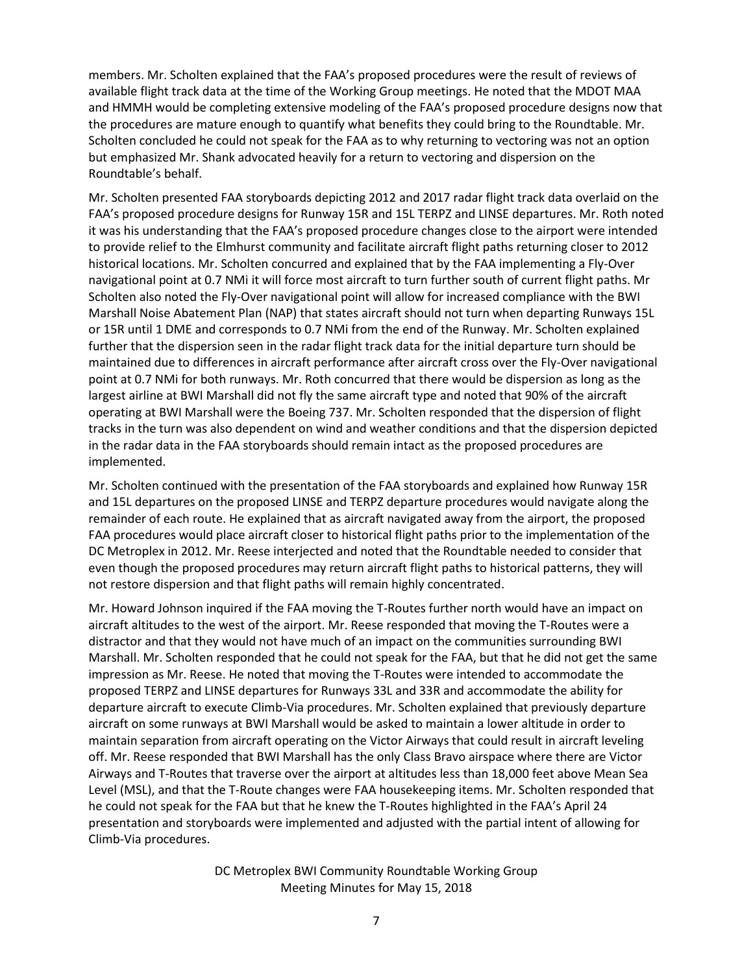members. Mr. Scholten explained that the FAA's proposed procedures were the result of reviews of available flight track data at the time of the Working Group meetings. He noted that the MDOT MAA and HMMH would be completing extensive modeling of the FAA's proposed procedure designs now that the procedures are mature enough to quantify what benefits they could bring to the Roundtable. Mr. Scholten concluded he could not speak for the FAA as to why returning to vectoring was not an option but emphasized Mr. Shank advocated heavily for a return to vectoring and dispersion on the Roundtable's behalf.

Mr. Scholten presented FAA storyboards depicting 2012 and 2017 radar flight track data overlaid on the FAA's proposed procedure designs for Runway 15R and 15L TERPZ and LINSE departures. Mr. Roth noted it was his understanding that the FAA's proposed procedure changes close to the airport were intended to provide relief to the Elmhurst community and facilitate aircraft flight paths returning closer to 2012 historical locations. Mr. Scholten concurred and explained that by the FAA implementing a Fly-Over navigational point at 0.7 NMi it will force most aircraft to turn further south of current flight paths. Mr Scholten also noted the Fly-Over navigational point will allow for increased compliance with the BWI Marshall Noise Abatement Plan (NAP) that states aircraft should not turn when departing Runways 15L or 15R until 1 DME and corresponds to 0.7 NMi from the end of the Runway. Mr. Scholten explained further that the dispersion seen in the radar flight track data for the initial departure turn should be maintained due to differences in aircraft performance after aircraft cross over the Fly-Over navigational point at 0.7 NMi for both runways. Mr. Roth concurred that there would be dispersion as long as the largest airline at BWI Marshall did not fly the same aircraft type and noted that 90% of the aircraft operating at BWI Marshall were the Boeing 737. Mr. Scholten responded that the dispersion of flight tracks in the turn was also dependent on wind and weather conditions and that the dispersion depicted in the radar data in the FAA storyboards should remain intact as the proposed procedures are implemented.

Mr. Scholten continued with the presentation of the FAA storyboards and explained how Runway 15R and 15L departures on the proposed LINSE and TERPZ departure procedures would navigate along the remainder of each route. He explained that as aircraft navigated away from the airport, the proposed FAA procedures would place aircraft closer to historical flight paths prior to the implementation of the DC Metroplex in 2012. Mr. Reese interjected and noted that the Roundtable needed to consider that even though the proposed procedures may return aircraft flight paths to historical patterns, they will not restore dispersion and that flight paths will remain highly concentrated.

Mr. Howard Johnson inquired if the FAA moving the T-Routes further north would have an impact on aircraft altitudes to the west of the airport. Mr. Reese responded that moving the T-Routes were a distractor and that they would not have much of an impact on the communities surrounding BWI Marshall. Mr. Scholten responded that he could not speak for the FAA, but that he did not get the same impression as Mr. Reese. He noted that moving the T-Routes were intended to accommodate the proposed TERPZ and LINSE departures for Runways 33L and 33R and accommodate the ability for departure aircraft to execute Climb-Via procedures. Mr. Scholten explained that previously departure aircraft on some runways at BWI Marshall would be asked to maintain a lower altitude in order to maintain separation from aircraft operating on the Victor Airways that could result in aircraft leveling off. Mr. Reese responded that BWI Marshall has the only Class Bravo airspace where there are Victor Airways and T-Routes that traverse over the airport at altitudes less than 18,000 feet above Mean Sea Level (MSL), and that the T-Route changes were FAA housekeeping items. Mr. Scholten responded that he could not speak for the FAA but that he knew the T-Routes highlighted in the FAA's April 24 presentation and storyboards were implemented and adjusted with the partial intent of allowing for Climb-Via procedures.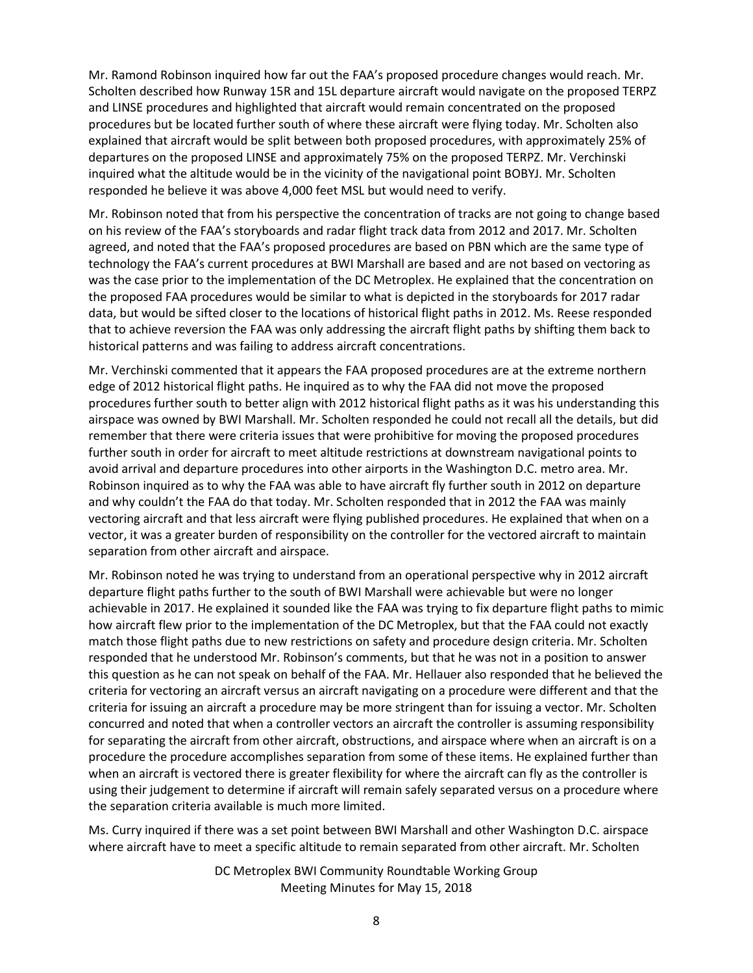Mr. Ramond Robinson inquired how far out the FAA's proposed procedure changes would reach. Mr. Scholten described how Runway 15R and 15L departure aircraft would navigate on the proposed TERPZ and LINSE procedures and highlighted that aircraft would remain concentrated on the proposed procedures but be located further south of where these aircraft were flying today. Mr. Scholten also explained that aircraft would be split between both proposed procedures, with approximately 25% of departures on the proposed LINSE and approximately 75% on the proposed TERPZ. Mr. Verchinski inquired what the altitude would be in the vicinity of the navigational point BOBYJ. Mr. Scholten responded he believe it was above 4,000 feet MSL but would need to verify.

Mr. Robinson noted that from his perspective the concentration of tracks are not going to change based on his review of the FAA's storyboards and radar flight track data from 2012 and 2017. Mr. Scholten agreed, and noted that the FAA's proposed procedures are based on PBN which are the same type of technology the FAA's current procedures at BWI Marshall are based and are not based on vectoring as was the case prior to the implementation of the DC Metroplex. He explained that the concentration on the proposed FAA procedures would be similar to what is depicted in the storyboards for 2017 radar data, but would be sifted closer to the locations of historical flight paths in 2012. Ms. Reese responded that to achieve reversion the FAA was only addressing the aircraft flight paths by shifting them back to historical patterns and was failing to address aircraft concentrations.

Mr. Verchinski commented that it appears the FAA proposed procedures are at the extreme northern edge of 2012 historical flight paths. He inquired as to why the FAA did not move the proposed procedures further south to better align with 2012 historical flight paths as it was his understanding this airspace was owned by BWI Marshall. Mr. Scholten responded he could not recall all the details, but did remember that there were criteria issues that were prohibitive for moving the proposed procedures further south in order for aircraft to meet altitude restrictions at downstream navigational points to avoid arrival and departure procedures into other airports in the Washington D.C. metro area. Mr. Robinson inquired as to why the FAA was able to have aircraft fly further south in 2012 on departure and why couldn't the FAA do that today. Mr. Scholten responded that in 2012 the FAA was mainly vectoring aircraft and that less aircraft were flying published procedures. He explained that when on a vector, it was a greater burden of responsibility on the controller for the vectored aircraft to maintain separation from other aircraft and airspace.

Mr. Robinson noted he was trying to understand from an operational perspective why in 2012 aircraft departure flight paths further to the south of BWI Marshall were achievable but were no longer achievable in 2017. He explained it sounded like the FAA was trying to fix departure flight paths to mimic how aircraft flew prior to the implementation of the DC Metroplex, but that the FAA could not exactly match those flight paths due to new restrictions on safety and procedure design criteria. Mr. Scholten responded that he understood Mr. Robinson's comments, but that he was not in a position to answer this question as he can not speak on behalf of the FAA. Mr. Hellauer also responded that he believed the criteria for vectoring an aircraft versus an aircraft navigating on a procedure were different and that the criteria for issuing an aircraft a procedure may be more stringent than for issuing a vector. Mr. Scholten concurred and noted that when a controller vectors an aircraft the controller is assuming responsibility for separating the aircraft from other aircraft, obstructions, and airspace where when an aircraft is on a procedure the procedure accomplishes separation from some of these items. He explained further than when an aircraft is vectored there is greater flexibility for where the aircraft can fly as the controller is using their judgement to determine if aircraft will remain safely separated versus on a procedure where the separation criteria available is much more limited.

Ms. Curry inquired if there was a set point between BWI Marshall and other Washington D.C. airspace where aircraft have to meet a specific altitude to remain separated from other aircraft. Mr. Scholten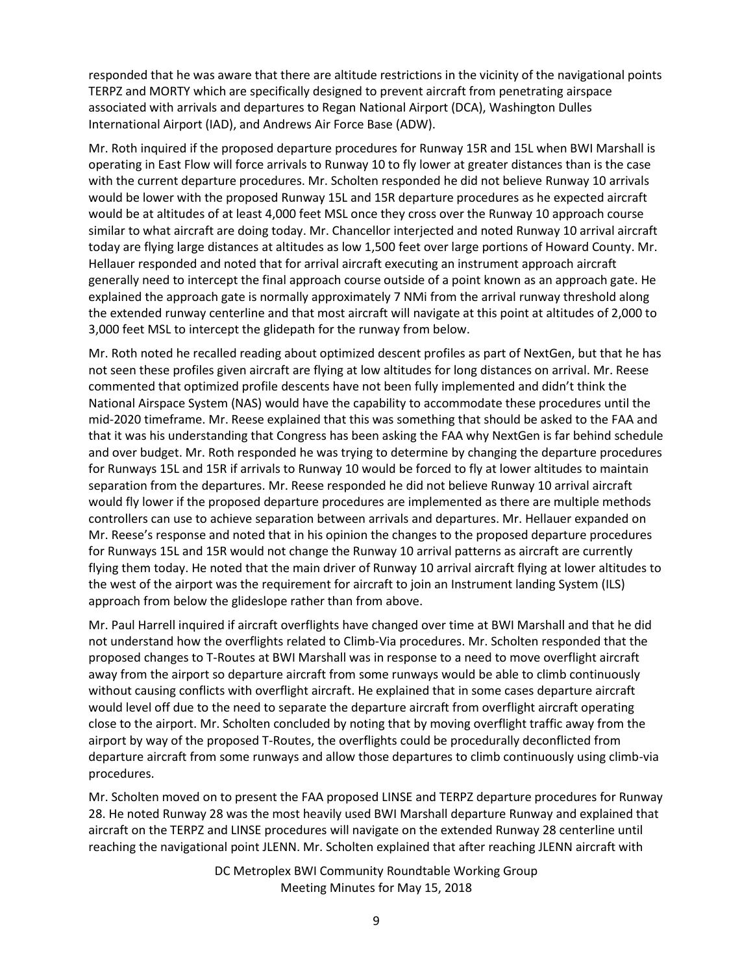responded that he was aware that there are altitude restrictions in the vicinity of the navigational points TERPZ and MORTY which are specifically designed to prevent aircraft from penetrating airspace associated with arrivals and departures to Regan National Airport (DCA), Washington Dulles International Airport (IAD), and Andrews Air Force Base (ADW).

Mr. Roth inquired if the proposed departure procedures for Runway 15R and 15L when BWI Marshall is operating in East Flow will force arrivals to Runway 10 to fly lower at greater distances than is the case with the current departure procedures. Mr. Scholten responded he did not believe Runway 10 arrivals would be lower with the proposed Runway 15L and 15R departure procedures as he expected aircraft would be at altitudes of at least 4,000 feet MSL once they cross over the Runway 10 approach course similar to what aircraft are doing today. Mr. Chancellor interjected and noted Runway 10 arrival aircraft today are flying large distances at altitudes as low 1,500 feet over large portions of Howard County. Mr. Hellauer responded and noted that for arrival aircraft executing an instrument approach aircraft generally need to intercept the final approach course outside of a point known as an approach gate. He explained the approach gate is normally approximately 7 NMi from the arrival runway threshold along the extended runway centerline and that most aircraft will navigate at this point at altitudes of 2,000 to 3,000 feet MSL to intercept the glidepath for the runway from below.

Mr. Roth noted he recalled reading about optimized descent profiles as part of NextGen, but that he has not seen these profiles given aircraft are flying at low altitudes for long distances on arrival. Mr. Reese commented that optimized profile descents have not been fully implemented and didn't think the National Airspace System (NAS) would have the capability to accommodate these procedures until the mid-2020 timeframe. Mr. Reese explained that this was something that should be asked to the FAA and that it was his understanding that Congress has been asking the FAA why NextGen is far behind schedule and over budget. Mr. Roth responded he was trying to determine by changing the departure procedures for Runways 15L and 15R if arrivals to Runway 10 would be forced to fly at lower altitudes to maintain separation from the departures. Mr. Reese responded he did not believe Runway 10 arrival aircraft would fly lower if the proposed departure procedures are implemented as there are multiple methods controllers can use to achieve separation between arrivals and departures. Mr. Hellauer expanded on Mr. Reese's response and noted that in his opinion the changes to the proposed departure procedures for Runways 15L and 15R would not change the Runway 10 arrival patterns as aircraft are currently flying them today. He noted that the main driver of Runway 10 arrival aircraft flying at lower altitudes to the west of the airport was the requirement for aircraft to join an Instrument landing System (ILS) approach from below the glideslope rather than from above.

Mr. Paul Harrell inquired if aircraft overflights have changed over time at BWI Marshall and that he did not understand how the overflights related to Climb-Via procedures. Mr. Scholten responded that the proposed changes to T-Routes at BWI Marshall was in response to a need to move overflight aircraft away from the airport so departure aircraft from some runways would be able to climb continuously without causing conflicts with overflight aircraft. He explained that in some cases departure aircraft would level off due to the need to separate the departure aircraft from overflight aircraft operating close to the airport. Mr. Scholten concluded by noting that by moving overflight traffic away from the airport by way of the proposed T-Routes, the overflights could be procedurally deconflicted from departure aircraft from some runways and allow those departures to climb continuously using climb-via procedures.

Mr. Scholten moved on to present the FAA proposed LINSE and TERPZ departure procedures for Runway 28. He noted Runway 28 was the most heavily used BWI Marshall departure Runway and explained that aircraft on the TERPZ and LINSE procedures will navigate on the extended Runway 28 centerline until reaching the navigational point JLENN. Mr. Scholten explained that after reaching JLENN aircraft with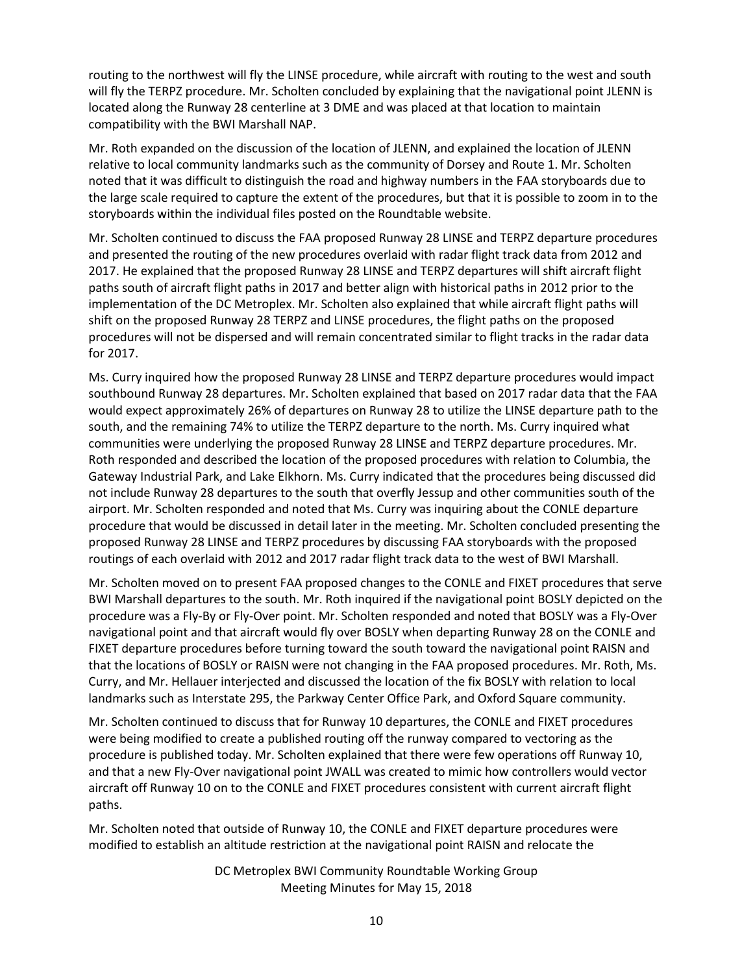routing to the northwest will fly the LINSE procedure, while aircraft with routing to the west and south will fly the TERPZ procedure. Mr. Scholten concluded by explaining that the navigational point JLENN is located along the Runway 28 centerline at 3 DME and was placed at that location to maintain compatibility with the BWI Marshall NAP.

Mr. Roth expanded on the discussion of the location of JLENN, and explained the location of JLENN relative to local community landmarks such as the community of Dorsey and Route 1. Mr. Scholten noted that it was difficult to distinguish the road and highway numbers in the FAA storyboards due to the large scale required to capture the extent of the procedures, but that it is possible to zoom in to the storyboards within the individual files posted on the Roundtable website.

Mr. Scholten continued to discuss the FAA proposed Runway 28 LINSE and TERPZ departure procedures and presented the routing of the new procedures overlaid with radar flight track data from 2012 and 2017. He explained that the proposed Runway 28 LINSE and TERPZ departures will shift aircraft flight paths south of aircraft flight paths in 2017 and better align with historical paths in 2012 prior to the implementation of the DC Metroplex. Mr. Scholten also explained that while aircraft flight paths will shift on the proposed Runway 28 TERPZ and LINSE procedures, the flight paths on the proposed procedures will not be dispersed and will remain concentrated similar to flight tracks in the radar data for 2017.

Ms. Curry inquired how the proposed Runway 28 LINSE and TERPZ departure procedures would impact southbound Runway 28 departures. Mr. Scholten explained that based on 2017 radar data that the FAA would expect approximately 26% of departures on Runway 28 to utilize the LINSE departure path to the south, and the remaining 74% to utilize the TERPZ departure to the north. Ms. Curry inquired what communities were underlying the proposed Runway 28 LINSE and TERPZ departure procedures. Mr. Roth responded and described the location of the proposed procedures with relation to Columbia, the Gateway Industrial Park, and Lake Elkhorn. Ms. Curry indicated that the procedures being discussed did not include Runway 28 departures to the south that overfly Jessup and other communities south of the airport. Mr. Scholten responded and noted that Ms. Curry was inquiring about the CONLE departure procedure that would be discussed in detail later in the meeting. Mr. Scholten concluded presenting the proposed Runway 28 LINSE and TERPZ procedures by discussing FAA storyboards with the proposed routings of each overlaid with 2012 and 2017 radar flight track data to the west of BWI Marshall.

Mr. Scholten moved on to present FAA proposed changes to the CONLE and FIXET procedures that serve BWI Marshall departures to the south. Mr. Roth inquired if the navigational point BOSLY depicted on the procedure was a Fly-By or Fly-Over point. Mr. Scholten responded and noted that BOSLY was a Fly-Over navigational point and that aircraft would fly over BOSLY when departing Runway 28 on the CONLE and FIXET departure procedures before turning toward the south toward the navigational point RAISN and that the locations of BOSLY or RAISN were not changing in the FAA proposed procedures. Mr. Roth, Ms. Curry, and Mr. Hellauer interjected and discussed the location of the fix BOSLY with relation to local landmarks such as Interstate 295, the Parkway Center Office Park, and Oxford Square community.

Mr. Scholten continued to discuss that for Runway 10 departures, the CONLE and FIXET procedures were being modified to create a published routing off the runway compared to vectoring as the procedure is published today. Mr. Scholten explained that there were few operations off Runway 10, and that a new Fly-Over navigational point JWALL was created to mimic how controllers would vector aircraft off Runway 10 on to the CONLE and FIXET procedures consistent with current aircraft flight paths.

Mr. Scholten noted that outside of Runway 10, the CONLE and FIXET departure procedures were modified to establish an altitude restriction at the navigational point RAISN and relocate the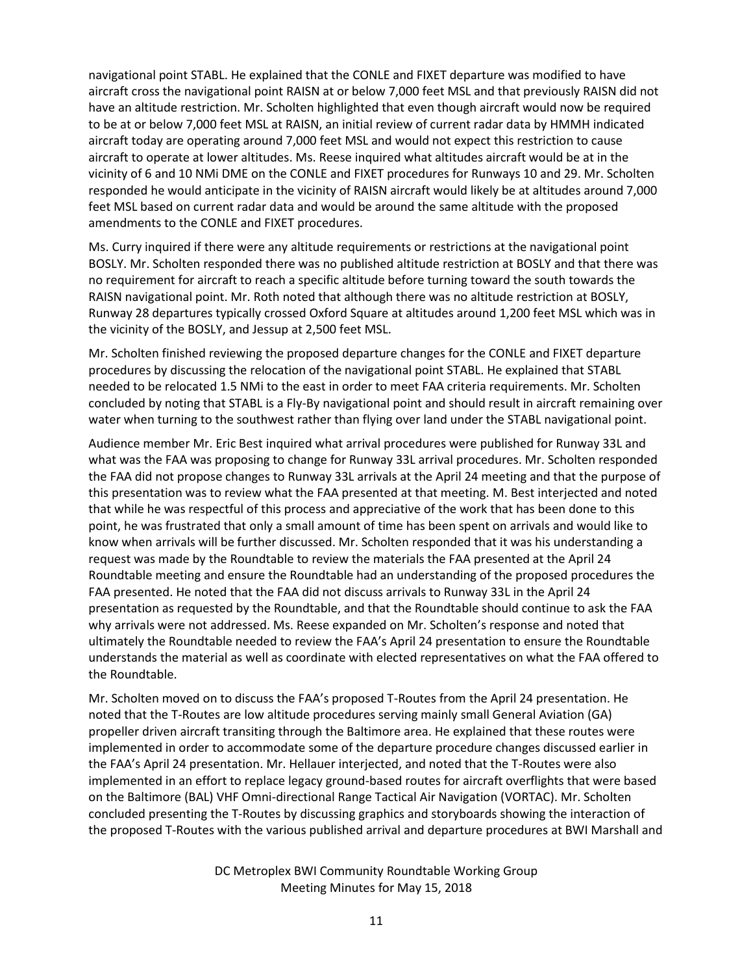navigational point STABL. He explained that the CONLE and FIXET departure was modified to have aircraft cross the navigational point RAISN at or below 7,000 feet MSL and that previously RAISN did not have an altitude restriction. Mr. Scholten highlighted that even though aircraft would now be required to be at or below 7,000 feet MSL at RAISN, an initial review of current radar data by HMMH indicated aircraft today are operating around 7,000 feet MSL and would not expect this restriction to cause aircraft to operate at lower altitudes. Ms. Reese inquired what altitudes aircraft would be at in the vicinity of 6 and 10 NMi DME on the CONLE and FIXET procedures for Runways 10 and 29. Mr. Scholten responded he would anticipate in the vicinity of RAISN aircraft would likely be at altitudes around 7,000 feet MSL based on current radar data and would be around the same altitude with the proposed amendments to the CONLE and FIXET procedures.

Ms. Curry inquired if there were any altitude requirements or restrictions at the navigational point BOSLY. Mr. Scholten responded there was no published altitude restriction at BOSLY and that there was no requirement for aircraft to reach a specific altitude before turning toward the south towards the RAISN navigational point. Mr. Roth noted that although there was no altitude restriction at BOSLY, Runway 28 departures typically crossed Oxford Square at altitudes around 1,200 feet MSL which was in the vicinity of the BOSLY, and Jessup at 2,500 feet MSL.

Mr. Scholten finished reviewing the proposed departure changes for the CONLE and FIXET departure procedures by discussing the relocation of the navigational point STABL. He explained that STABL needed to be relocated 1.5 NMi to the east in order to meet FAA criteria requirements. Mr. Scholten concluded by noting that STABL is a Fly-By navigational point and should result in aircraft remaining over water when turning to the southwest rather than flying over land under the STABL navigational point.

Audience member Mr. Eric Best inquired what arrival procedures were published for Runway 33L and what was the FAA was proposing to change for Runway 33L arrival procedures. Mr. Scholten responded the FAA did not propose changes to Runway 33L arrivals at the April 24 meeting and that the purpose of this presentation was to review what the FAA presented at that meeting. M. Best interjected and noted that while he was respectful of this process and appreciative of the work that has been done to this point, he was frustrated that only a small amount of time has been spent on arrivals and would like to know when arrivals will be further discussed. Mr. Scholten responded that it was his understanding a request was made by the Roundtable to review the materials the FAA presented at the April 24 Roundtable meeting and ensure the Roundtable had an understanding of the proposed procedures the FAA presented. He noted that the FAA did not discuss arrivals to Runway 33L in the April 24 presentation as requested by the Roundtable, and that the Roundtable should continue to ask the FAA why arrivals were not addressed. Ms. Reese expanded on Mr. Scholten's response and noted that ultimately the Roundtable needed to review the FAA's April 24 presentation to ensure the Roundtable understands the material as well as coordinate with elected representatives on what the FAA offered to the Roundtable.

Mr. Scholten moved on to discuss the FAA's proposed T-Routes from the April 24 presentation. He noted that the T-Routes are low altitude procedures serving mainly small General Aviation (GA) propeller driven aircraft transiting through the Baltimore area. He explained that these routes were implemented in order to accommodate some of the departure procedure changes discussed earlier in the FAA's April 24 presentation. Mr. Hellauer interjected, and noted that the T-Routes were also implemented in an effort to replace legacy ground-based routes for aircraft overflights that were based on the Baltimore (BAL) VHF Omni-directional Range Tactical Air Navigation (VORTAC). Mr. Scholten concluded presenting the T-Routes by discussing graphics and storyboards showing the interaction of the proposed T-Routes with the various published arrival and departure procedures at BWI Marshall and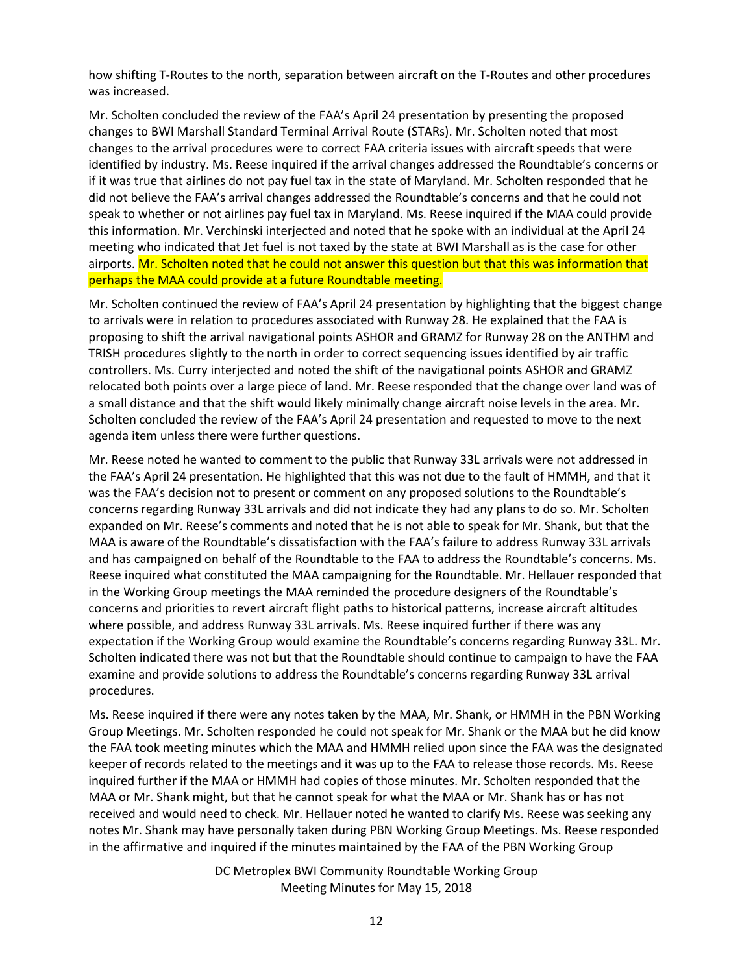how shifting T-Routes to the north, separation between aircraft on the T-Routes and other procedures was increased.

Mr. Scholten concluded the review of the FAA's April 24 presentation by presenting the proposed changes to BWI Marshall Standard Terminal Arrival Route (STARs). Mr. Scholten noted that most changes to the arrival procedures were to correct FAA criteria issues with aircraft speeds that were identified by industry. Ms. Reese inquired if the arrival changes addressed the Roundtable's concerns or if it was true that airlines do not pay fuel tax in the state of Maryland. Mr. Scholten responded that he did not believe the FAA's arrival changes addressed the Roundtable's concerns and that he could not speak to whether or not airlines pay fuel tax in Maryland. Ms. Reese inquired if the MAA could provide this information. Mr. Verchinski interjected and noted that he spoke with an individual at the April 24 meeting who indicated that Jet fuel is not taxed by the state at BWI Marshall as is the case for other airports. Mr. Scholten noted that he could not answer this question but that this was information that perhaps the MAA could provide at a future Roundtable meeting.

Mr. Scholten continued the review of FAA's April 24 presentation by highlighting that the biggest change to arrivals were in relation to procedures associated with Runway 28. He explained that the FAA is proposing to shift the arrival navigational points ASHOR and GRAMZ for Runway 28 on the ANTHM and TRISH procedures slightly to the north in order to correct sequencing issues identified by air traffic controllers. Ms. Curry interjected and noted the shift of the navigational points ASHOR and GRAMZ relocated both points over a large piece of land. Mr. Reese responded that the change over land was of a small distance and that the shift would likely minimally change aircraft noise levels in the area. Mr. Scholten concluded the review of the FAA's April 24 presentation and requested to move to the next agenda item unless there were further questions.

Mr. Reese noted he wanted to comment to the public that Runway 33L arrivals were not addressed in the FAA's April 24 presentation. He highlighted that this was not due to the fault of HMMH, and that it was the FAA's decision not to present or comment on any proposed solutions to the Roundtable's concerns regarding Runway 33L arrivals and did not indicate they had any plans to do so. Mr. Scholten expanded on Mr. Reese's comments and noted that he is not able to speak for Mr. Shank, but that the MAA is aware of the Roundtable's dissatisfaction with the FAA's failure to address Runway 33L arrivals and has campaigned on behalf of the Roundtable to the FAA to address the Roundtable's concerns. Ms. Reese inquired what constituted the MAA campaigning for the Roundtable. Mr. Hellauer responded that in the Working Group meetings the MAA reminded the procedure designers of the Roundtable's concerns and priorities to revert aircraft flight paths to historical patterns, increase aircraft altitudes where possible, and address Runway 33L arrivals. Ms. Reese inquired further if there was any expectation if the Working Group would examine the Roundtable's concerns regarding Runway 33L. Mr. Scholten indicated there was not but that the Roundtable should continue to campaign to have the FAA examine and provide solutions to address the Roundtable's concerns regarding Runway 33L arrival procedures.

Ms. Reese inquired if there were any notes taken by the MAA, Mr. Shank, or HMMH in the PBN Working Group Meetings. Mr. Scholten responded he could not speak for Mr. Shank or the MAA but he did know the FAA took meeting minutes which the MAA and HMMH relied upon since the FAA was the designated keeper of records related to the meetings and it was up to the FAA to release those records. Ms. Reese inquired further if the MAA or HMMH had copies of those minutes. Mr. Scholten responded that the MAA or Mr. Shank might, but that he cannot speak for what the MAA or Mr. Shank has or has not received and would need to check. Mr. Hellauer noted he wanted to clarify Ms. Reese was seeking any notes Mr. Shank may have personally taken during PBN Working Group Meetings. Ms. Reese responded in the affirmative and inquired if the minutes maintained by the FAA of the PBN Working Group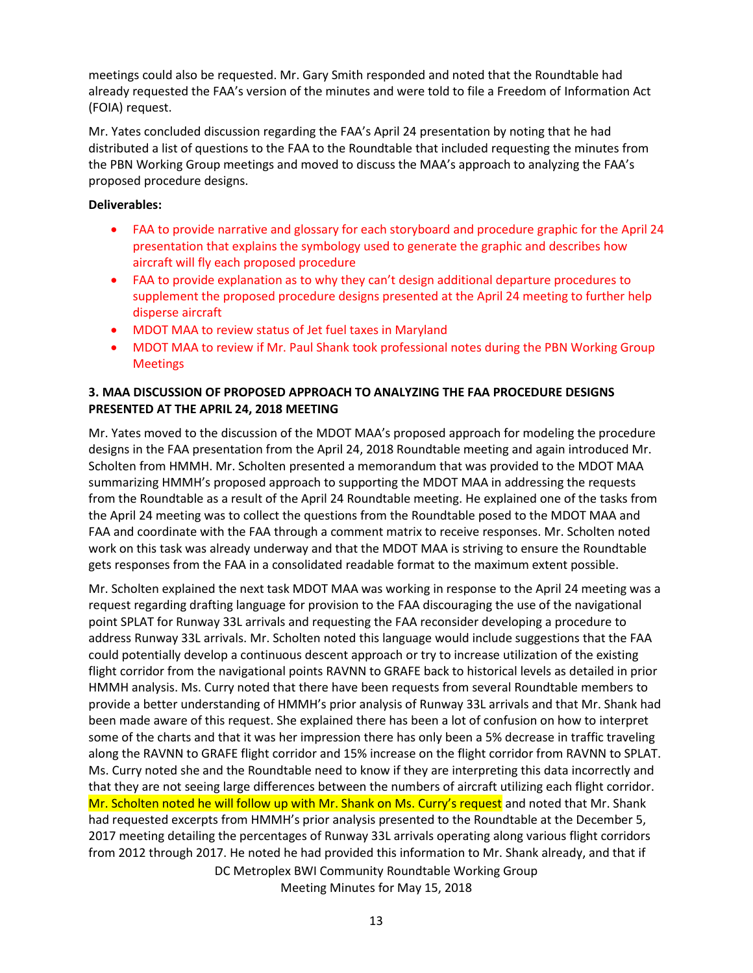meetings could also be requested. Mr. Gary Smith responded and noted that the Roundtable had already requested the FAA's version of the minutes and were told to file a Freedom of Information Act (FOIA) request.

Mr. Yates concluded discussion regarding the FAA's April 24 presentation by noting that he had distributed a list of questions to the FAA to the Roundtable that included requesting the minutes from the PBN Working Group meetings and moved to discuss the MAA's approach to analyzing the FAA's proposed procedure designs.

### **Deliverables:**

- FAA to provide narrative and glossary for each storyboard and procedure graphic for the April 24 presentation that explains the symbology used to generate the graphic and describes how aircraft will fly each proposed procedure
- FAA to provide explanation as to why they can't design additional departure procedures to supplement the proposed procedure designs presented at the April 24 meeting to further help disperse aircraft
- MDOT MAA to review status of Jet fuel taxes in Maryland
- MDOT MAA to review if Mr. Paul Shank took professional notes during the PBN Working Group Meetings

# **3. MAA DISCUSSION OF PROPOSED APPROACH TO ANALYZING THE FAA PROCEDURE DESIGNS PRESENTED AT THE APRIL 24, 2018 MEETING**

Mr. Yates moved to the discussion of the MDOT MAA's proposed approach for modeling the procedure designs in the FAA presentation from the April 24, 2018 Roundtable meeting and again introduced Mr. Scholten from HMMH. Mr. Scholten presented a memorandum that was provided to the MDOT MAA summarizing HMMH's proposed approach to supporting the MDOT MAA in addressing the requests from the Roundtable as a result of the April 24 Roundtable meeting. He explained one of the tasks from the April 24 meeting was to collect the questions from the Roundtable posed to the MDOT MAA and FAA and coordinate with the FAA through a comment matrix to receive responses. Mr. Scholten noted work on this task was already underway and that the MDOT MAA is striving to ensure the Roundtable gets responses from the FAA in a consolidated readable format to the maximum extent possible.

DC Metroplex BWI Community Roundtable Working Group Mr. Scholten explained the next task MDOT MAA was working in response to the April 24 meeting was a request regarding drafting language for provision to the FAA discouraging the use of the navigational point SPLAT for Runway 33L arrivals and requesting the FAA reconsider developing a procedure to address Runway 33L arrivals. Mr. Scholten noted this language would include suggestions that the FAA could potentially develop a continuous descent approach or try to increase utilization of the existing flight corridor from the navigational points RAVNN to GRAFE back to historical levels as detailed in prior HMMH analysis. Ms. Curry noted that there have been requests from several Roundtable members to provide a better understanding of HMMH's prior analysis of Runway 33L arrivals and that Mr. Shank had been made aware of this request. She explained there has been a lot of confusion on how to interpret some of the charts and that it was her impression there has only been a 5% decrease in traffic traveling along the RAVNN to GRAFE flight corridor and 15% increase on the flight corridor from RAVNN to SPLAT. Ms. Curry noted she and the Roundtable need to know if they are interpreting this data incorrectly and that they are not seeing large differences between the numbers of aircraft utilizing each flight corridor. Mr. Scholten noted he will follow up with Mr. Shank on Ms. Curry's request and noted that Mr. Shank had requested excerpts from HMMH's prior analysis presented to the Roundtable at the December 5, 2017 meeting detailing the percentages of Runway 33L arrivals operating along various flight corridors from 2012 through 2017. He noted he had provided this information to Mr. Shank already, and that if

Meeting Minutes for May 15, 2018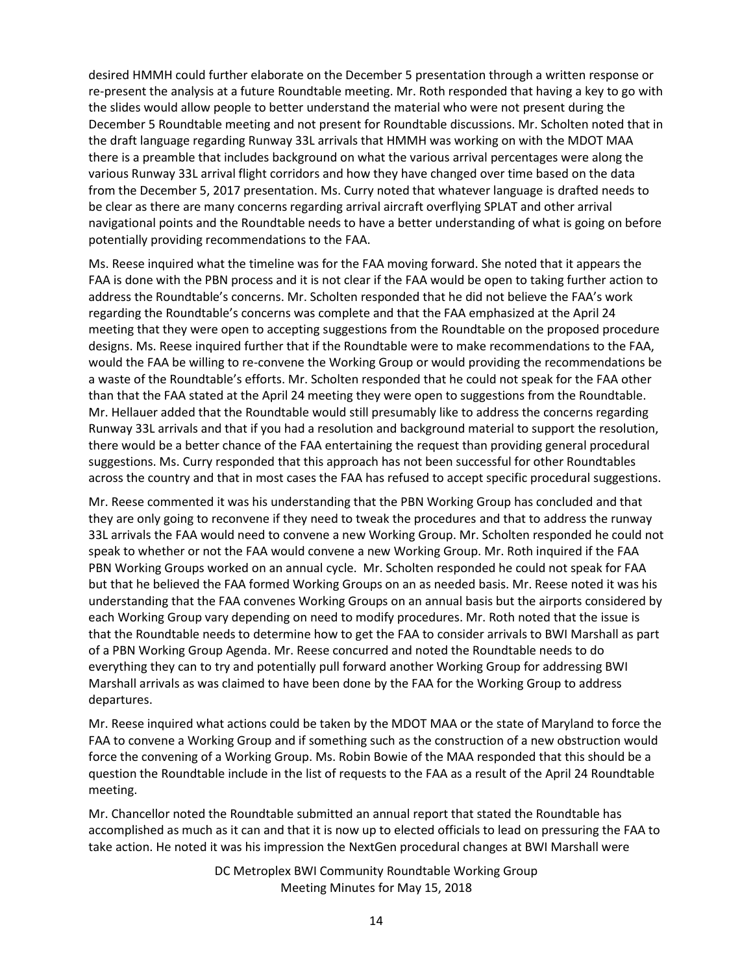desired HMMH could further elaborate on the December 5 presentation through a written response or re-present the analysis at a future Roundtable meeting. Mr. Roth responded that having a key to go with the slides would allow people to better understand the material who were not present during the December 5 Roundtable meeting and not present for Roundtable discussions. Mr. Scholten noted that in the draft language regarding Runway 33L arrivals that HMMH was working on with the MDOT MAA there is a preamble that includes background on what the various arrival percentages were along the various Runway 33L arrival flight corridors and how they have changed over time based on the data from the December 5, 2017 presentation. Ms. Curry noted that whatever language is drafted needs to be clear as there are many concerns regarding arrival aircraft overflying SPLAT and other arrival navigational points and the Roundtable needs to have a better understanding of what is going on before potentially providing recommendations to the FAA.

Ms. Reese inquired what the timeline was for the FAA moving forward. She noted that it appears the FAA is done with the PBN process and it is not clear if the FAA would be open to taking further action to address the Roundtable's concerns. Mr. Scholten responded that he did not believe the FAA's work regarding the Roundtable's concerns was complete and that the FAA emphasized at the April 24 meeting that they were open to accepting suggestions from the Roundtable on the proposed procedure designs. Ms. Reese inquired further that if the Roundtable were to make recommendations to the FAA, would the FAA be willing to re-convene the Working Group or would providing the recommendations be a waste of the Roundtable's efforts. Mr. Scholten responded that he could not speak for the FAA other than that the FAA stated at the April 24 meeting they were open to suggestions from the Roundtable. Mr. Hellauer added that the Roundtable would still presumably like to address the concerns regarding Runway 33L arrivals and that if you had a resolution and background material to support the resolution, there would be a better chance of the FAA entertaining the request than providing general procedural suggestions. Ms. Curry responded that this approach has not been successful for other Roundtables across the country and that in most cases the FAA has refused to accept specific procedural suggestions.

Mr. Reese commented it was his understanding that the PBN Working Group has concluded and that they are only going to reconvene if they need to tweak the procedures and that to address the runway 33L arrivals the FAA would need to convene a new Working Group. Mr. Scholten responded he could not speak to whether or not the FAA would convene a new Working Group. Mr. Roth inquired if the FAA PBN Working Groups worked on an annual cycle. Mr. Scholten responded he could not speak for FAA but that he believed the FAA formed Working Groups on an as needed basis. Mr. Reese noted it was his understanding that the FAA convenes Working Groups on an annual basis but the airports considered by each Working Group vary depending on need to modify procedures. Mr. Roth noted that the issue is that the Roundtable needs to determine how to get the FAA to consider arrivals to BWI Marshall as part of a PBN Working Group Agenda. Mr. Reese concurred and noted the Roundtable needs to do everything they can to try and potentially pull forward another Working Group for addressing BWI Marshall arrivals as was claimed to have been done by the FAA for the Working Group to address departures.

Mr. Reese inquired what actions could be taken by the MDOT MAA or the state of Maryland to force the FAA to convene a Working Group and if something such as the construction of a new obstruction would force the convening of a Working Group. Ms. Robin Bowie of the MAA responded that this should be a question the Roundtable include in the list of requests to the FAA as a result of the April 24 Roundtable meeting.

Mr. Chancellor noted the Roundtable submitted an annual report that stated the Roundtable has accomplished as much as it can and that it is now up to elected officials to lead on pressuring the FAA to take action. He noted it was his impression the NextGen procedural changes at BWI Marshall were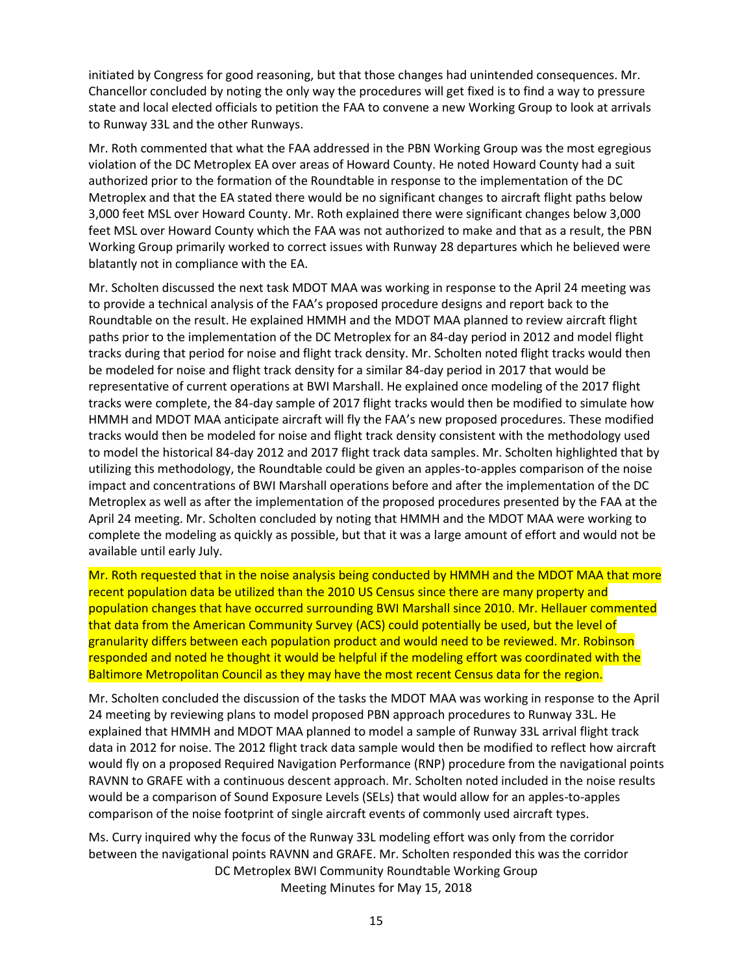initiated by Congress for good reasoning, but that those changes had unintended consequences. Mr. Chancellor concluded by noting the only way the procedures will get fixed is to find a way to pressure state and local elected officials to petition the FAA to convene a new Working Group to look at arrivals to Runway 33L and the other Runways.

Mr. Roth commented that what the FAA addressed in the PBN Working Group was the most egregious violation of the DC Metroplex EA over areas of Howard County. He noted Howard County had a suit authorized prior to the formation of the Roundtable in response to the implementation of the DC Metroplex and that the EA stated there would be no significant changes to aircraft flight paths below 3,000 feet MSL over Howard County. Mr. Roth explained there were significant changes below 3,000 feet MSL over Howard County which the FAA was not authorized to make and that as a result, the PBN Working Group primarily worked to correct issues with Runway 28 departures which he believed were blatantly not in compliance with the EA.

Mr. Scholten discussed the next task MDOT MAA was working in response to the April 24 meeting was to provide a technical analysis of the FAA's proposed procedure designs and report back to the Roundtable on the result. He explained HMMH and the MDOT MAA planned to review aircraft flight paths prior to the implementation of the DC Metroplex for an 84-day period in 2012 and model flight tracks during that period for noise and flight track density. Mr. Scholten noted flight tracks would then be modeled for noise and flight track density for a similar 84-day period in 2017 that would be representative of current operations at BWI Marshall. He explained once modeling of the 2017 flight tracks were complete, the 84-day sample of 2017 flight tracks would then be modified to simulate how HMMH and MDOT MAA anticipate aircraft will fly the FAA's new proposed procedures. These modified tracks would then be modeled for noise and flight track density consistent with the methodology used to model the historical 84-day 2012 and 2017 flight track data samples. Mr. Scholten highlighted that by utilizing this methodology, the Roundtable could be given an apples-to-apples comparison of the noise impact and concentrations of BWI Marshall operations before and after the implementation of the DC Metroplex as well as after the implementation of the proposed procedures presented by the FAA at the April 24 meeting. Mr. Scholten concluded by noting that HMMH and the MDOT MAA were working to complete the modeling as quickly as possible, but that it was a large amount of effort and would not be available until early July.

Mr. Roth requested that in the noise analysis being conducted by HMMH and the MDOT MAA that more recent population data be utilized than the 2010 US Census since there are many property and population changes that have occurred surrounding BWI Marshall since 2010. Mr. Hellauer commented that data from the American Community Survey (ACS) could potentially be used, but the level of granularity differs between each population product and would need to be reviewed. Mr. Robinson responded and noted he thought it would be helpful if the modeling effort was coordinated with the Baltimore Metropolitan Council as they may have the most recent Census data for the region.

Mr. Scholten concluded the discussion of the tasks the MDOT MAA was working in response to the April 24 meeting by reviewing plans to model proposed PBN approach procedures to Runway 33L. He explained that HMMH and MDOT MAA planned to model a sample of Runway 33L arrival flight track data in 2012 for noise. The 2012 flight track data sample would then be modified to reflect how aircraft would fly on a proposed Required Navigation Performance (RNP) procedure from the navigational points RAVNN to GRAFE with a continuous descent approach. Mr. Scholten noted included in the noise results would be a comparison of Sound Exposure Levels (SELs) that would allow for an apples-to-apples comparison of the noise footprint of single aircraft events of commonly used aircraft types.

DC Metroplex BWI Community Roundtable Working Group Meeting Minutes for May 15, 2018 Ms. Curry inquired why the focus of the Runway 33L modeling effort was only from the corridor between the navigational points RAVNN and GRAFE. Mr. Scholten responded this was the corridor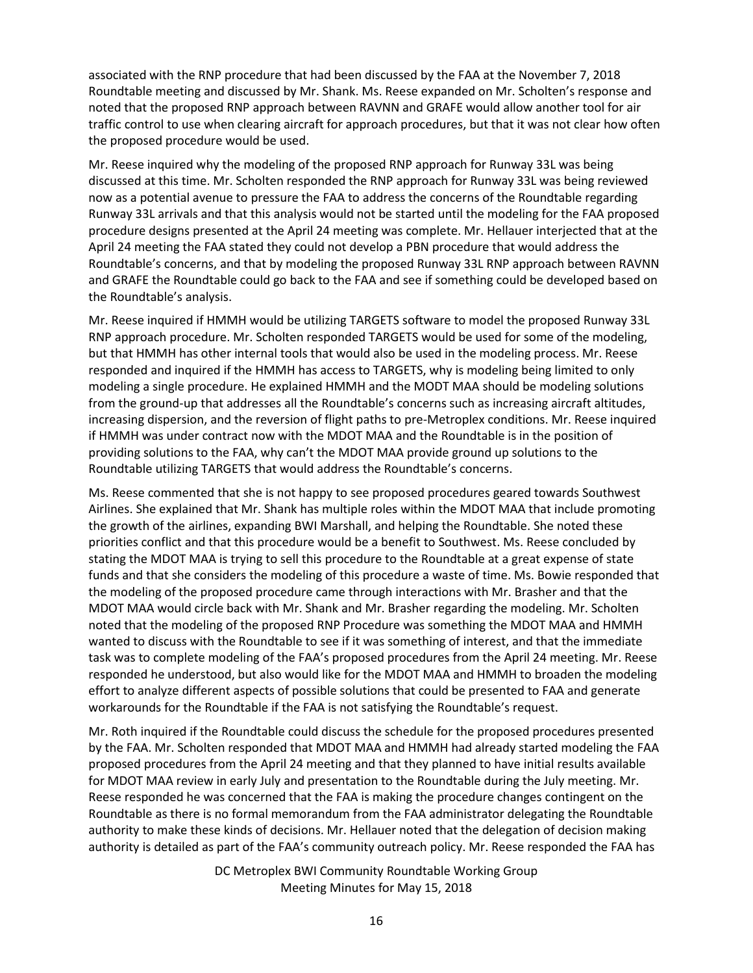associated with the RNP procedure that had been discussed by the FAA at the November 7, 2018 Roundtable meeting and discussed by Mr. Shank. Ms. Reese expanded on Mr. Scholten's response and noted that the proposed RNP approach between RAVNN and GRAFE would allow another tool for air traffic control to use when clearing aircraft for approach procedures, but that it was not clear how often the proposed procedure would be used.

Mr. Reese inquired why the modeling of the proposed RNP approach for Runway 33L was being discussed at this time. Mr. Scholten responded the RNP approach for Runway 33L was being reviewed now as a potential avenue to pressure the FAA to address the concerns of the Roundtable regarding Runway 33L arrivals and that this analysis would not be started until the modeling for the FAA proposed procedure designs presented at the April 24 meeting was complete. Mr. Hellauer interjected that at the April 24 meeting the FAA stated they could not develop a PBN procedure that would address the Roundtable's concerns, and that by modeling the proposed Runway 33L RNP approach between RAVNN and GRAFE the Roundtable could go back to the FAA and see if something could be developed based on the Roundtable's analysis.

Mr. Reese inquired if HMMH would be utilizing TARGETS software to model the proposed Runway 33L RNP approach procedure. Mr. Scholten responded TARGETS would be used for some of the modeling, but that HMMH has other internal tools that would also be used in the modeling process. Mr. Reese responded and inquired if the HMMH has access to TARGETS, why is modeling being limited to only modeling a single procedure. He explained HMMH and the MODT MAA should be modeling solutions from the ground-up that addresses all the Roundtable's concerns such as increasing aircraft altitudes, increasing dispersion, and the reversion of flight paths to pre-Metroplex conditions. Mr. Reese inquired if HMMH was under contract now with the MDOT MAA and the Roundtable is in the position of providing solutions to the FAA, why can't the MDOT MAA provide ground up solutions to the Roundtable utilizing TARGETS that would address the Roundtable's concerns.

Ms. Reese commented that she is not happy to see proposed procedures geared towards Southwest Airlines. She explained that Mr. Shank has multiple roles within the MDOT MAA that include promoting the growth of the airlines, expanding BWI Marshall, and helping the Roundtable. She noted these priorities conflict and that this procedure would be a benefit to Southwest. Ms. Reese concluded by stating the MDOT MAA is trying to sell this procedure to the Roundtable at a great expense of state funds and that she considers the modeling of this procedure a waste of time. Ms. Bowie responded that the modeling of the proposed procedure came through interactions with Mr. Brasher and that the MDOT MAA would circle back with Mr. Shank and Mr. Brasher regarding the modeling. Mr. Scholten noted that the modeling of the proposed RNP Procedure was something the MDOT MAA and HMMH wanted to discuss with the Roundtable to see if it was something of interest, and that the immediate task was to complete modeling of the FAA's proposed procedures from the April 24 meeting. Mr. Reese responded he understood, but also would like for the MDOT MAA and HMMH to broaden the modeling effort to analyze different aspects of possible solutions that could be presented to FAA and generate workarounds for the Roundtable if the FAA is not satisfying the Roundtable's request.

Mr. Roth inquired if the Roundtable could discuss the schedule for the proposed procedures presented by the FAA. Mr. Scholten responded that MDOT MAA and HMMH had already started modeling the FAA proposed procedures from the April 24 meeting and that they planned to have initial results available for MDOT MAA review in early July and presentation to the Roundtable during the July meeting. Mr. Reese responded he was concerned that the FAA is making the procedure changes contingent on the Roundtable as there is no formal memorandum from the FAA administrator delegating the Roundtable authority to make these kinds of decisions. Mr. Hellauer noted that the delegation of decision making authority is detailed as part of the FAA's community outreach policy. Mr. Reese responded the FAA has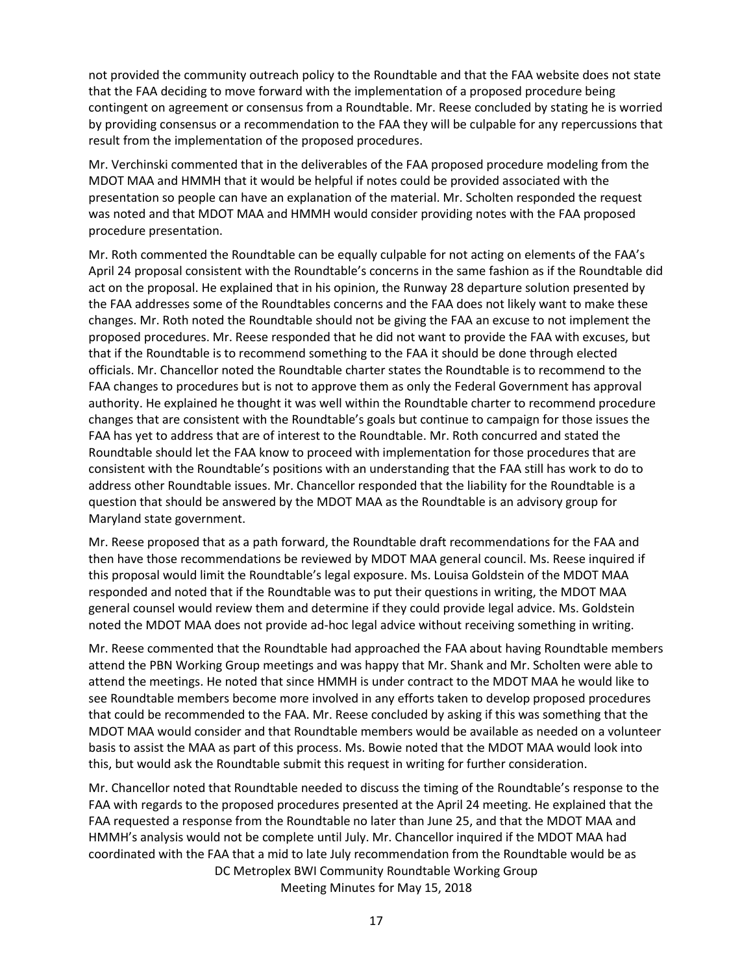not provided the community outreach policy to the Roundtable and that the FAA website does not state that the FAA deciding to move forward with the implementation of a proposed procedure being contingent on agreement or consensus from a Roundtable. Mr. Reese concluded by stating he is worried by providing consensus or a recommendation to the FAA they will be culpable for any repercussions that result from the implementation of the proposed procedures.

Mr. Verchinski commented that in the deliverables of the FAA proposed procedure modeling from the MDOT MAA and HMMH that it would be helpful if notes could be provided associated with the presentation so people can have an explanation of the material. Mr. Scholten responded the request was noted and that MDOT MAA and HMMH would consider providing notes with the FAA proposed procedure presentation.

Mr. Roth commented the Roundtable can be equally culpable for not acting on elements of the FAA's April 24 proposal consistent with the Roundtable's concerns in the same fashion as if the Roundtable did act on the proposal. He explained that in his opinion, the Runway 28 departure solution presented by the FAA addresses some of the Roundtables concerns and the FAA does not likely want to make these changes. Mr. Roth noted the Roundtable should not be giving the FAA an excuse to not implement the proposed procedures. Mr. Reese responded that he did not want to provide the FAA with excuses, but that if the Roundtable is to recommend something to the FAA it should be done through elected officials. Mr. Chancellor noted the Roundtable charter states the Roundtable is to recommend to the FAA changes to procedures but is not to approve them as only the Federal Government has approval authority. He explained he thought it was well within the Roundtable charter to recommend procedure changes that are consistent with the Roundtable's goals but continue to campaign for those issues the FAA has yet to address that are of interest to the Roundtable. Mr. Roth concurred and stated the Roundtable should let the FAA know to proceed with implementation for those procedures that are consistent with the Roundtable's positions with an understanding that the FAA still has work to do to address other Roundtable issues. Mr. Chancellor responded that the liability for the Roundtable is a question that should be answered by the MDOT MAA as the Roundtable is an advisory group for Maryland state government.

Mr. Reese proposed that as a path forward, the Roundtable draft recommendations for the FAA and then have those recommendations be reviewed by MDOT MAA general council. Ms. Reese inquired if this proposal would limit the Roundtable's legal exposure. Ms. Louisa Goldstein of the MDOT MAA responded and noted that if the Roundtable was to put their questions in writing, the MDOT MAA general counsel would review them and determine if they could provide legal advice. Ms. Goldstein noted the MDOT MAA does not provide ad-hoc legal advice without receiving something in writing.

Mr. Reese commented that the Roundtable had approached the FAA about having Roundtable members attend the PBN Working Group meetings and was happy that Mr. Shank and Mr. Scholten were able to attend the meetings. He noted that since HMMH is under contract to the MDOT MAA he would like to see Roundtable members become more involved in any efforts taken to develop proposed procedures that could be recommended to the FAA. Mr. Reese concluded by asking if this was something that the MDOT MAA would consider and that Roundtable members would be available as needed on a volunteer basis to assist the MAA as part of this process. Ms. Bowie noted that the MDOT MAA would look into this, but would ask the Roundtable submit this request in writing for further consideration.

DC Metroplex BWI Community Roundtable Working Group Meeting Minutes for May 15, 2018 Mr. Chancellor noted that Roundtable needed to discuss the timing of the Roundtable's response to the FAA with regards to the proposed procedures presented at the April 24 meeting. He explained that the FAA requested a response from the Roundtable no later than June 25, and that the MDOT MAA and HMMH's analysis would not be complete until July. Mr. Chancellor inquired if the MDOT MAA had coordinated with the FAA that a mid to late July recommendation from the Roundtable would be as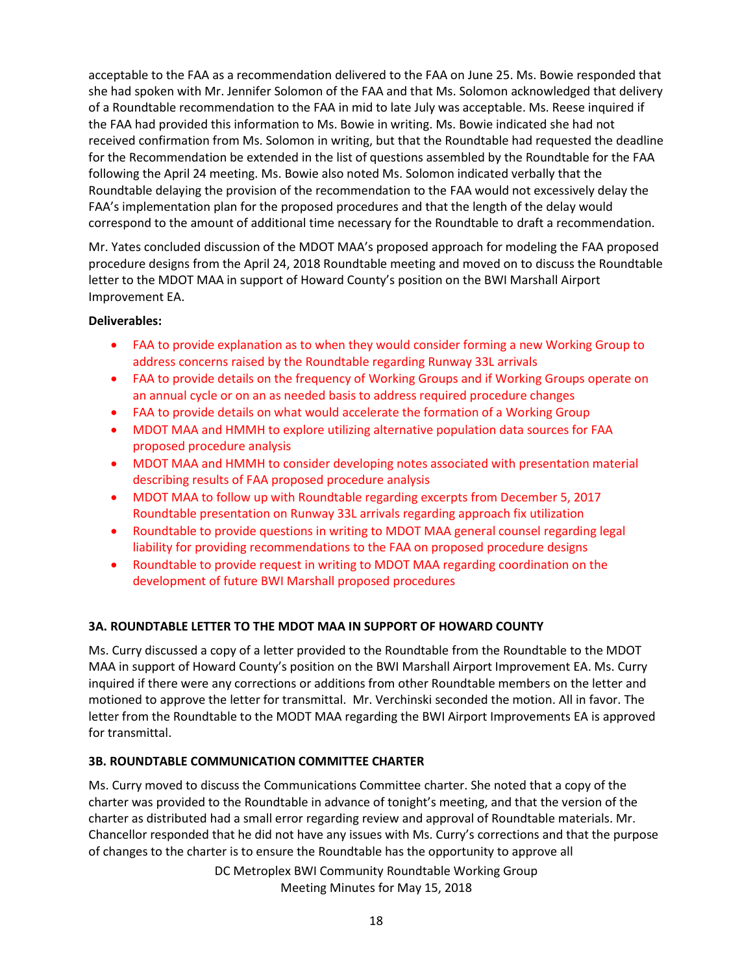acceptable to the FAA as a recommendation delivered to the FAA on June 25. Ms. Bowie responded that she had spoken with Mr. Jennifer Solomon of the FAA and that Ms. Solomon acknowledged that delivery of a Roundtable recommendation to the FAA in mid to late July was acceptable. Ms. Reese inquired if the FAA had provided this information to Ms. Bowie in writing. Ms. Bowie indicated she had not received confirmation from Ms. Solomon in writing, but that the Roundtable had requested the deadline for the Recommendation be extended in the list of questions assembled by the Roundtable for the FAA following the April 24 meeting. Ms. Bowie also noted Ms. Solomon indicated verbally that the Roundtable delaying the provision of the recommendation to the FAA would not excessively delay the FAA's implementation plan for the proposed procedures and that the length of the delay would correspond to the amount of additional time necessary for the Roundtable to draft a recommendation.

Mr. Yates concluded discussion of the MDOT MAA's proposed approach for modeling the FAA proposed procedure designs from the April 24, 2018 Roundtable meeting and moved on to discuss the Roundtable letter to the MDOT MAA in support of Howard County's position on the BWI Marshall Airport Improvement EA.

# **Deliverables:**

- FAA to provide explanation as to when they would consider forming a new Working Group to address concerns raised by the Roundtable regarding Runway 33L arrivals
- FAA to provide details on the frequency of Working Groups and if Working Groups operate on an annual cycle or on an as needed basis to address required procedure changes
- FAA to provide details on what would accelerate the formation of a Working Group
- MDOT MAA and HMMH to explore utilizing alternative population data sources for FAA proposed procedure analysis
- MDOT MAA and HMMH to consider developing notes associated with presentation material describing results of FAA proposed procedure analysis
- MDOT MAA to follow up with Roundtable regarding excerpts from December 5, 2017 Roundtable presentation on Runway 33L arrivals regarding approach fix utilization
- Roundtable to provide questions in writing to MDOT MAA general counsel regarding legal liability for providing recommendations to the FAA on proposed procedure designs
- Roundtable to provide request in writing to MDOT MAA regarding coordination on the development of future BWI Marshall proposed procedures

# **3A. ROUNDTABLE LETTER TO THE MDOT MAA IN SUPPORT OF HOWARD COUNTY**

Ms. Curry discussed a copy of a letter provided to the Roundtable from the Roundtable to the MDOT MAA in support of Howard County's position on the BWI Marshall Airport Improvement EA. Ms. Curry inquired if there were any corrections or additions from other Roundtable members on the letter and motioned to approve the letter for transmittal. Mr. Verchinski seconded the motion. All in favor. The letter from the Roundtable to the MODT MAA regarding the BWI Airport Improvements EA is approved for transmittal.

# **3B. ROUNDTABLE COMMUNICATION COMMITTEE CHARTER**

Ms. Curry moved to discuss the Communications Committee charter. She noted that a copy of the charter was provided to the Roundtable in advance of tonight's meeting, and that the version of the charter as distributed had a small error regarding review and approval of Roundtable materials. Mr. Chancellor responded that he did not have any issues with Ms. Curry's corrections and that the purpose of changes to the charter is to ensure the Roundtable has the opportunity to approve all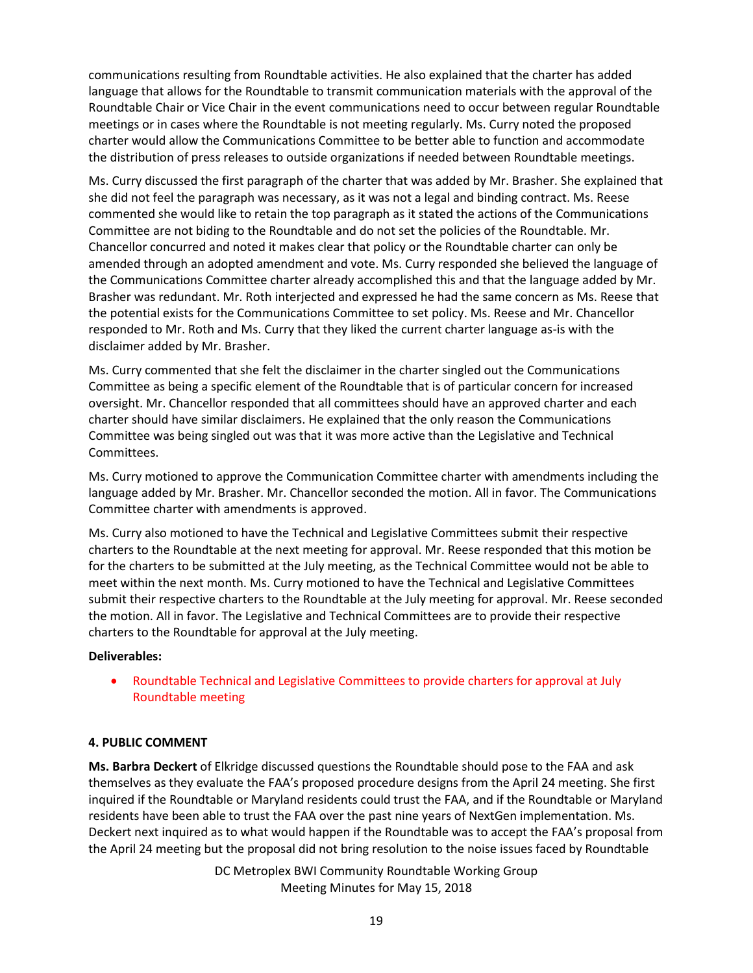communications resulting from Roundtable activities. He also explained that the charter has added language that allows for the Roundtable to transmit communication materials with the approval of the Roundtable Chair or Vice Chair in the event communications need to occur between regular Roundtable meetings or in cases where the Roundtable is not meeting regularly. Ms. Curry noted the proposed charter would allow the Communications Committee to be better able to function and accommodate the distribution of press releases to outside organizations if needed between Roundtable meetings.

Ms. Curry discussed the first paragraph of the charter that was added by Mr. Brasher. She explained that she did not feel the paragraph was necessary, as it was not a legal and binding contract. Ms. Reese commented she would like to retain the top paragraph as it stated the actions of the Communications Committee are not biding to the Roundtable and do not set the policies of the Roundtable. Mr. Chancellor concurred and noted it makes clear that policy or the Roundtable charter can only be amended through an adopted amendment and vote. Ms. Curry responded she believed the language of the Communications Committee charter already accomplished this and that the language added by Mr. Brasher was redundant. Mr. Roth interjected and expressed he had the same concern as Ms. Reese that the potential exists for the Communications Committee to set policy. Ms. Reese and Mr. Chancellor responded to Mr. Roth and Ms. Curry that they liked the current charter language as-is with the disclaimer added by Mr. Brasher.

Ms. Curry commented that she felt the disclaimer in the charter singled out the Communications Committee as being a specific element of the Roundtable that is of particular concern for increased oversight. Mr. Chancellor responded that all committees should have an approved charter and each charter should have similar disclaimers. He explained that the only reason the Communications Committee was being singled out was that it was more active than the Legislative and Technical Committees.

Ms. Curry motioned to approve the Communication Committee charter with amendments including the language added by Mr. Brasher. Mr. Chancellor seconded the motion. All in favor. The Communications Committee charter with amendments is approved.

Ms. Curry also motioned to have the Technical and Legislative Committees submit their respective charters to the Roundtable at the next meeting for approval. Mr. Reese responded that this motion be for the charters to be submitted at the July meeting, as the Technical Committee would not be able to meet within the next month. Ms. Curry motioned to have the Technical and Legislative Committees submit their respective charters to the Roundtable at the July meeting for approval. Mr. Reese seconded the motion. All in favor. The Legislative and Technical Committees are to provide their respective charters to the Roundtable for approval at the July meeting.

# **Deliverables:**

 Roundtable Technical and Legislative Committees to provide charters for approval at July Roundtable meeting

# **4. PUBLIC COMMENT**

**Ms. Barbra Deckert** of Elkridge discussed questions the Roundtable should pose to the FAA and ask themselves as they evaluate the FAA's proposed procedure designs from the April 24 meeting. She first inquired if the Roundtable or Maryland residents could trust the FAA, and if the Roundtable or Maryland residents have been able to trust the FAA over the past nine years of NextGen implementation. Ms. Deckert next inquired as to what would happen if the Roundtable was to accept the FAA's proposal from the April 24 meeting but the proposal did not bring resolution to the noise issues faced by Roundtable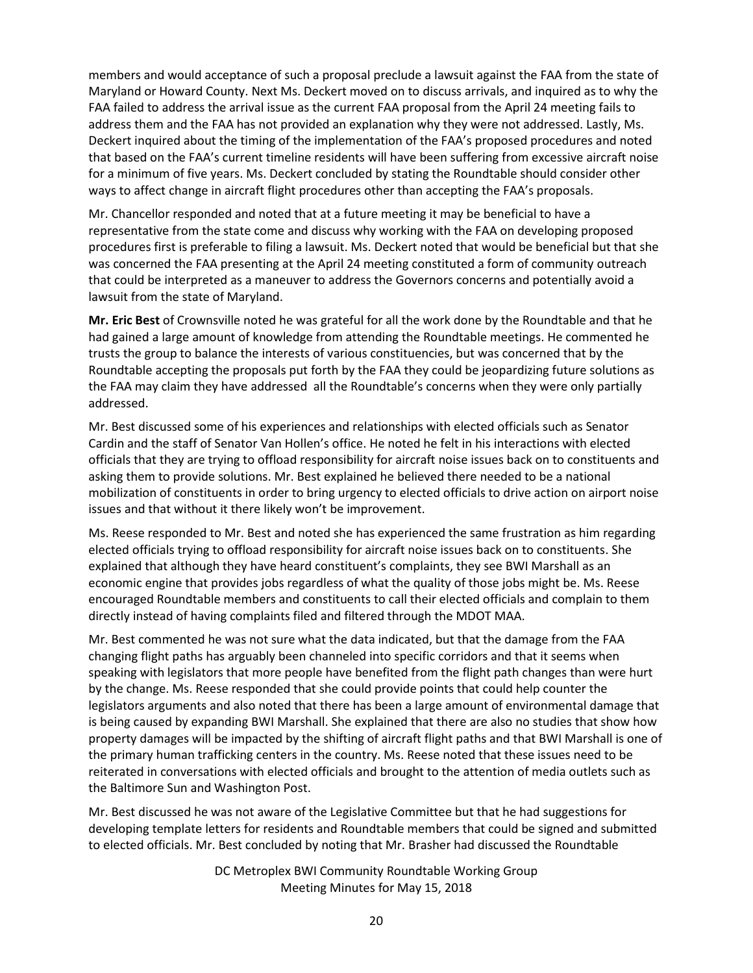members and would acceptance of such a proposal preclude a lawsuit against the FAA from the state of Maryland or Howard County. Next Ms. Deckert moved on to discuss arrivals, and inquired as to why the FAA failed to address the arrival issue as the current FAA proposal from the April 24 meeting fails to address them and the FAA has not provided an explanation why they were not addressed. Lastly, Ms. Deckert inquired about the timing of the implementation of the FAA's proposed procedures and noted that based on the FAA's current timeline residents will have been suffering from excessive aircraft noise for a minimum of five years. Ms. Deckert concluded by stating the Roundtable should consider other ways to affect change in aircraft flight procedures other than accepting the FAA's proposals.

Mr. Chancellor responded and noted that at a future meeting it may be beneficial to have a representative from the state come and discuss why working with the FAA on developing proposed procedures first is preferable to filing a lawsuit. Ms. Deckert noted that would be beneficial but that she was concerned the FAA presenting at the April 24 meeting constituted a form of community outreach that could be interpreted as a maneuver to address the Governors concerns and potentially avoid a lawsuit from the state of Maryland.

**Mr. Eric Best** of Crownsville noted he was grateful for all the work done by the Roundtable and that he had gained a large amount of knowledge from attending the Roundtable meetings. He commented he trusts the group to balance the interests of various constituencies, but was concerned that by the Roundtable accepting the proposals put forth by the FAA they could be jeopardizing future solutions as the FAA may claim they have addressed all the Roundtable's concerns when they were only partially addressed.

Mr. Best discussed some of his experiences and relationships with elected officials such as Senator Cardin and the staff of Senator Van Hollen's office. He noted he felt in his interactions with elected officials that they are trying to offload responsibility for aircraft noise issues back on to constituents and asking them to provide solutions. Mr. Best explained he believed there needed to be a national mobilization of constituents in order to bring urgency to elected officials to drive action on airport noise issues and that without it there likely won't be improvement.

Ms. Reese responded to Mr. Best and noted she has experienced the same frustration as him regarding elected officials trying to offload responsibility for aircraft noise issues back on to constituents. She explained that although they have heard constituent's complaints, they see BWI Marshall as an economic engine that provides jobs regardless of what the quality of those jobs might be. Ms. Reese encouraged Roundtable members and constituents to call their elected officials and complain to them directly instead of having complaints filed and filtered through the MDOT MAA.

Mr. Best commented he was not sure what the data indicated, but that the damage from the FAA changing flight paths has arguably been channeled into specific corridors and that it seems when speaking with legislators that more people have benefited from the flight path changes than were hurt by the change. Ms. Reese responded that she could provide points that could help counter the legislators arguments and also noted that there has been a large amount of environmental damage that is being caused by expanding BWI Marshall. She explained that there are also no studies that show how property damages will be impacted by the shifting of aircraft flight paths and that BWI Marshall is one of the primary human trafficking centers in the country. Ms. Reese noted that these issues need to be reiterated in conversations with elected officials and brought to the attention of media outlets such as the Baltimore Sun and Washington Post.

Mr. Best discussed he was not aware of the Legislative Committee but that he had suggestions for developing template letters for residents and Roundtable members that could be signed and submitted to elected officials. Mr. Best concluded by noting that Mr. Brasher had discussed the Roundtable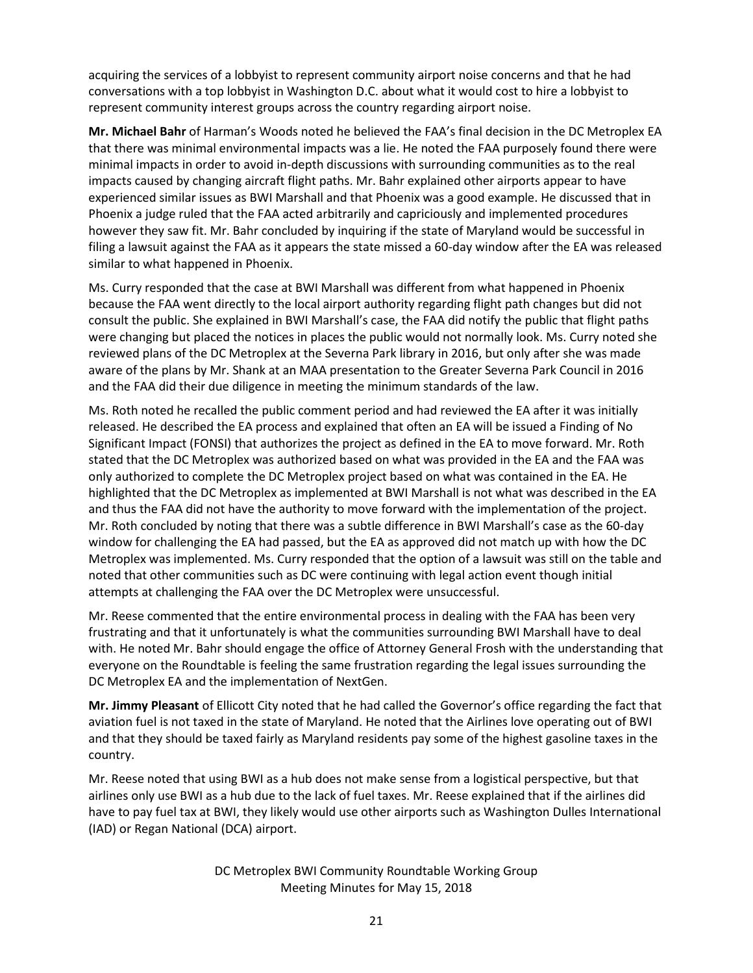acquiring the services of a lobbyist to represent community airport noise concerns and that he had conversations with a top lobbyist in Washington D.C. about what it would cost to hire a lobbyist to represent community interest groups across the country regarding airport noise.

**Mr. Michael Bahr** of Harman's Woods noted he believed the FAA's final decision in the DC Metroplex EA that there was minimal environmental impacts was a lie. He noted the FAA purposely found there were minimal impacts in order to avoid in-depth discussions with surrounding communities as to the real impacts caused by changing aircraft flight paths. Mr. Bahr explained other airports appear to have experienced similar issues as BWI Marshall and that Phoenix was a good example. He discussed that in Phoenix a judge ruled that the FAA acted arbitrarily and capriciously and implemented procedures however they saw fit. Mr. Bahr concluded by inquiring if the state of Maryland would be successful in filing a lawsuit against the FAA as it appears the state missed a 60-day window after the EA was released similar to what happened in Phoenix.

Ms. Curry responded that the case at BWI Marshall was different from what happened in Phoenix because the FAA went directly to the local airport authority regarding flight path changes but did not consult the public. She explained in BWI Marshall's case, the FAA did notify the public that flight paths were changing but placed the notices in places the public would not normally look. Ms. Curry noted she reviewed plans of the DC Metroplex at the Severna Park library in 2016, but only after she was made aware of the plans by Mr. Shank at an MAA presentation to the Greater Severna Park Council in 2016 and the FAA did their due diligence in meeting the minimum standards of the law.

Ms. Roth noted he recalled the public comment period and had reviewed the EA after it was initially released. He described the EA process and explained that often an EA will be issued a Finding of No Significant Impact (FONSI) that authorizes the project as defined in the EA to move forward. Mr. Roth stated that the DC Metroplex was authorized based on what was provided in the EA and the FAA was only authorized to complete the DC Metroplex project based on what was contained in the EA. He highlighted that the DC Metroplex as implemented at BWI Marshall is not what was described in the EA and thus the FAA did not have the authority to move forward with the implementation of the project. Mr. Roth concluded by noting that there was a subtle difference in BWI Marshall's case as the 60-day window for challenging the EA had passed, but the EA as approved did not match up with how the DC Metroplex was implemented. Ms. Curry responded that the option of a lawsuit was still on the table and noted that other communities such as DC were continuing with legal action event though initial attempts at challenging the FAA over the DC Metroplex were unsuccessful.

Mr. Reese commented that the entire environmental process in dealing with the FAA has been very frustrating and that it unfortunately is what the communities surrounding BWI Marshall have to deal with. He noted Mr. Bahr should engage the office of Attorney General Frosh with the understanding that everyone on the Roundtable is feeling the same frustration regarding the legal issues surrounding the DC Metroplex EA and the implementation of NextGen.

**Mr. Jimmy Pleasant** of Ellicott City noted that he had called the Governor's office regarding the fact that aviation fuel is not taxed in the state of Maryland. He noted that the Airlines love operating out of BWI and that they should be taxed fairly as Maryland residents pay some of the highest gasoline taxes in the country.

Mr. Reese noted that using BWI as a hub does not make sense from a logistical perspective, but that airlines only use BWI as a hub due to the lack of fuel taxes. Mr. Reese explained that if the airlines did have to pay fuel tax at BWI, they likely would use other airports such as Washington Dulles International (IAD) or Regan National (DCA) airport.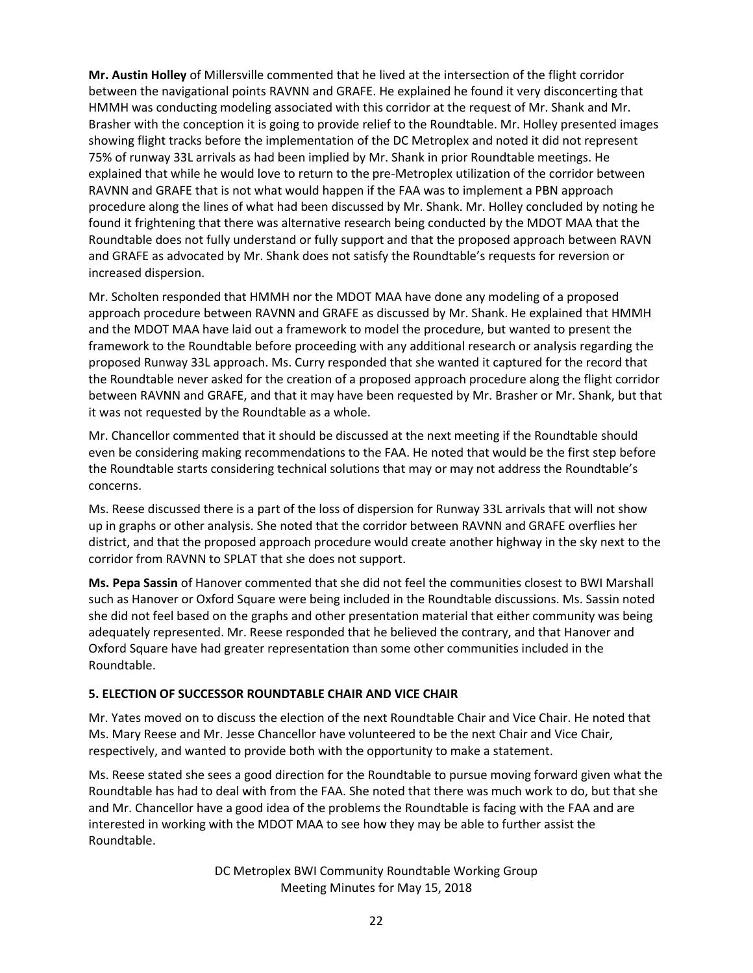**Mr. Austin Holley** of Millersville commented that he lived at the intersection of the flight corridor between the navigational points RAVNN and GRAFE. He explained he found it very disconcerting that HMMH was conducting modeling associated with this corridor at the request of Mr. Shank and Mr. Brasher with the conception it is going to provide relief to the Roundtable. Mr. Holley presented images showing flight tracks before the implementation of the DC Metroplex and noted it did not represent 75% of runway 33L arrivals as had been implied by Mr. Shank in prior Roundtable meetings. He explained that while he would love to return to the pre-Metroplex utilization of the corridor between RAVNN and GRAFE that is not what would happen if the FAA was to implement a PBN approach procedure along the lines of what had been discussed by Mr. Shank. Mr. Holley concluded by noting he found it frightening that there was alternative research being conducted by the MDOT MAA that the Roundtable does not fully understand or fully support and that the proposed approach between RAVN and GRAFE as advocated by Mr. Shank does not satisfy the Roundtable's requests for reversion or increased dispersion.

Mr. Scholten responded that HMMH nor the MDOT MAA have done any modeling of a proposed approach procedure between RAVNN and GRAFE as discussed by Mr. Shank. He explained that HMMH and the MDOT MAA have laid out a framework to model the procedure, but wanted to present the framework to the Roundtable before proceeding with any additional research or analysis regarding the proposed Runway 33L approach. Ms. Curry responded that she wanted it captured for the record that the Roundtable never asked for the creation of a proposed approach procedure along the flight corridor between RAVNN and GRAFE, and that it may have been requested by Mr. Brasher or Mr. Shank, but that it was not requested by the Roundtable as a whole.

Mr. Chancellor commented that it should be discussed at the next meeting if the Roundtable should even be considering making recommendations to the FAA. He noted that would be the first step before the Roundtable starts considering technical solutions that may or may not address the Roundtable's concerns.

Ms. Reese discussed there is a part of the loss of dispersion for Runway 33L arrivals that will not show up in graphs or other analysis. She noted that the corridor between RAVNN and GRAFE overflies her district, and that the proposed approach procedure would create another highway in the sky next to the corridor from RAVNN to SPLAT that she does not support.

**Ms. Pepa Sassin** of Hanover commented that she did not feel the communities closest to BWI Marshall such as Hanover or Oxford Square were being included in the Roundtable discussions. Ms. Sassin noted she did not feel based on the graphs and other presentation material that either community was being adequately represented. Mr. Reese responded that he believed the contrary, and that Hanover and Oxford Square have had greater representation than some other communities included in the Roundtable.

# **5. ELECTION OF SUCCESSOR ROUNDTABLE CHAIR AND VICE CHAIR**

Mr. Yates moved on to discuss the election of the next Roundtable Chair and Vice Chair. He noted that Ms. Mary Reese and Mr. Jesse Chancellor have volunteered to be the next Chair and Vice Chair, respectively, and wanted to provide both with the opportunity to make a statement.

Ms. Reese stated she sees a good direction for the Roundtable to pursue moving forward given what the Roundtable has had to deal with from the FAA. She noted that there was much work to do, but that she and Mr. Chancellor have a good idea of the problems the Roundtable is facing with the FAA and are interested in working with the MDOT MAA to see how they may be able to further assist the Roundtable.